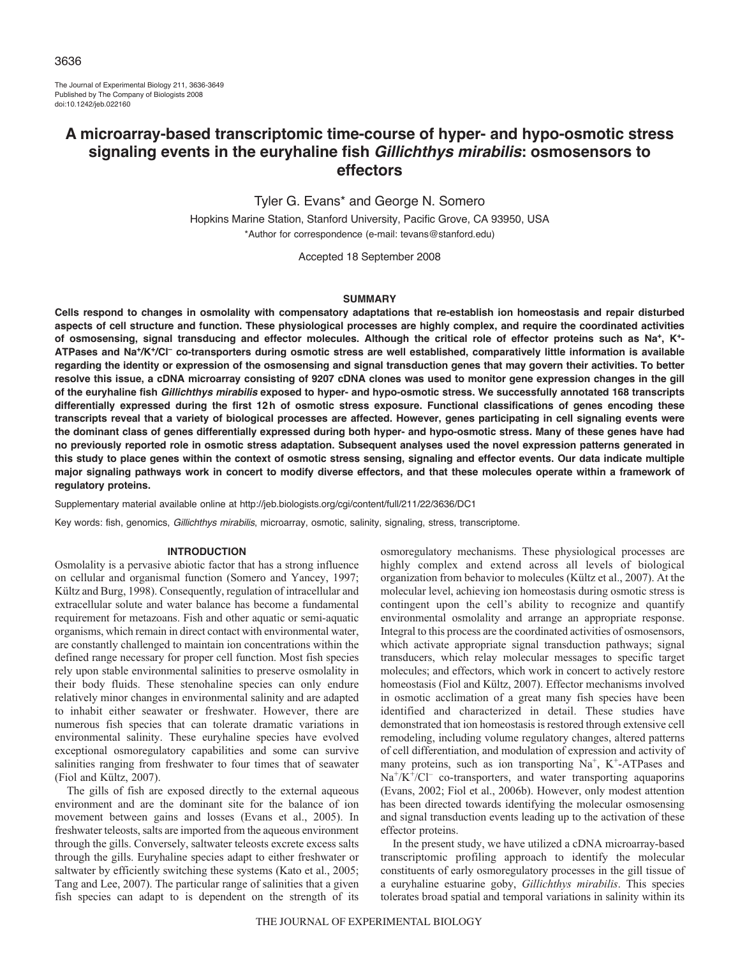The Journal of Experimental Biology 211, 3636-3649 Published by The Company of Biologists 2008 doi:10.1242/jeb.022160

# **A microarray-based transcriptomic time-course of hyper- and hypo-osmotic stress signaling events in the euryhaline fish** *Gillichthys mirabilis***: osmosensors to effectors**

Tyler G. Evans\* and George N. Somero

Hopkins Marine Station, Stanford University, Pacific Grove, CA 93950, USA \*Author for correspondence (e-mail: tevans@stanford.edu)

Accepted 18 September 2008

# **SUMMARY**

**Cells respond to changes in osmolality with compensatory adaptations that re-establish ion homeostasis and repair disturbed aspects of cell structure and function. These physiological processes are highly complex, and require the coordinated activities of osmosensing, signal transducing and effector molecules. Although the critical role of effector proteins such as Na+, K+- ATPases and Na+/K+/Cl– co-transporters during osmotic stress are well established, comparatively little information is available regarding the identity or expression of the osmosensing and signal transduction genes that may govern their activities. To better resolve this issue, a cDNA microarray consisting of 9207 cDNA clones was used to monitor gene expression changes in the gill of the euryhaline fish** *Gillichthys mirabilis* **exposed to hyper- and hypo-osmotic stress. We successfully annotated 168 transcripts differentially expressed during the first 12h of osmotic stress exposure. Functional classifications of genes encoding these transcripts reveal that a variety of biological processes are affected. However, genes participating in cell signaling events were the dominant class of genes differentially expressed during both hyper- and hypo-osmotic stress. Many of these genes have had no previously reported role in osmotic stress adaptation. Subsequent analyses used the novel expression patterns generated in this study to place genes within the context of osmotic stress sensing, signaling and effector events. Our data indicate multiple major signaling pathways work in concert to modify diverse effectors, and that these molecules operate within a framework of regulatory proteins.**

Supplementary material available online at http://jeb.biologists.org/cgi/content/full/211/22/3636/DC1

Key words: fish, genomics, Gillichthys mirabilis, microarray, osmotic, salinity, signaling, stress, transcriptome.

## **INTRODUCTION**

Osmolality is a pervasive abiotic factor that has a strong influence on cellular and organismal function (Somero and Yancey, 1997; Kültz and Burg, 1998). Consequently, regulation of intracellular and extracellular solute and water balance has become a fundamental requirement for metazoans. Fish and other aquatic or semi-aquatic organisms, which remain in direct contact with environmental water, are constantly challenged to maintain ion concentrations within the defined range necessary for proper cell function. Most fish species rely upon stable environmental salinities to preserve osmolality in their body fluids. These stenohaline species can only endure relatively minor changes in environmental salinity and are adapted to inhabit either seawater or freshwater. However, there are numerous fish species that can tolerate dramatic variations in environmental salinity. These euryhaline species have evolved exceptional osmoregulatory capabilities and some can survive salinities ranging from freshwater to four times that of seawater (Fiol and Kültz, 2007).

The gills of fish are exposed directly to the external aqueous environment and are the dominant site for the balance of ion movement between gains and losses (Evans et al., 2005). In freshwater teleosts, salts are imported from the aqueous environment through the gills. Conversely, saltwater teleosts excrete excess salts through the gills. Euryhaline species adapt to either freshwater or saltwater by efficiently switching these systems (Kato et al., 2005; Tang and Lee, 2007). The particular range of salinities that a given fish species can adapt to is dependent on the strength of its

osmoregulatory mechanisms. These physiological processes are highly complex and extend across all levels of biological organization from behavior to molecules (Kültz et al., 2007). At the molecular level, achieving ion homeostasis during osmotic stress is contingent upon the cell's ability to recognize and quantify environmental osmolality and arrange an appropriate response. Integral to this process are the coordinated activities of osmosensors, which activate appropriate signal transduction pathways; signal transducers, which relay molecular messages to specific target molecules; and effectors, which work in concert to actively restore homeostasis (Fiol and Kültz, 2007). Effector mechanisms involved in osmotic acclimation of a great many fish species have been identified and characterized in detail. These studies have demonstrated that ion homeostasis is restored through extensive cell remodeling, including volume regulatory changes, altered patterns of cell differentiation, and modulation of expression and activity of many proteins, such as ion transporting  $Na<sup>+</sup>$ , K<sup>+</sup>-ATPases and  $Na^{+}/K^{+}/Cl^{-}$  co-transporters, and water transporting aquaporins (Evans, 2002; Fiol et al., 2006b). However, only modest attention has been directed towards identifying the molecular osmosensing and signal transduction events leading up to the activation of these effector proteins.

In the present study, we have utilized a cDNA microarray-based transcriptomic profiling approach to identify the molecular constituents of early osmoregulatory processes in the gill tissue of a euryhaline estuarine goby, *Gillichthys mirabilis*. This species tolerates broad spatial and temporal variations in salinity within its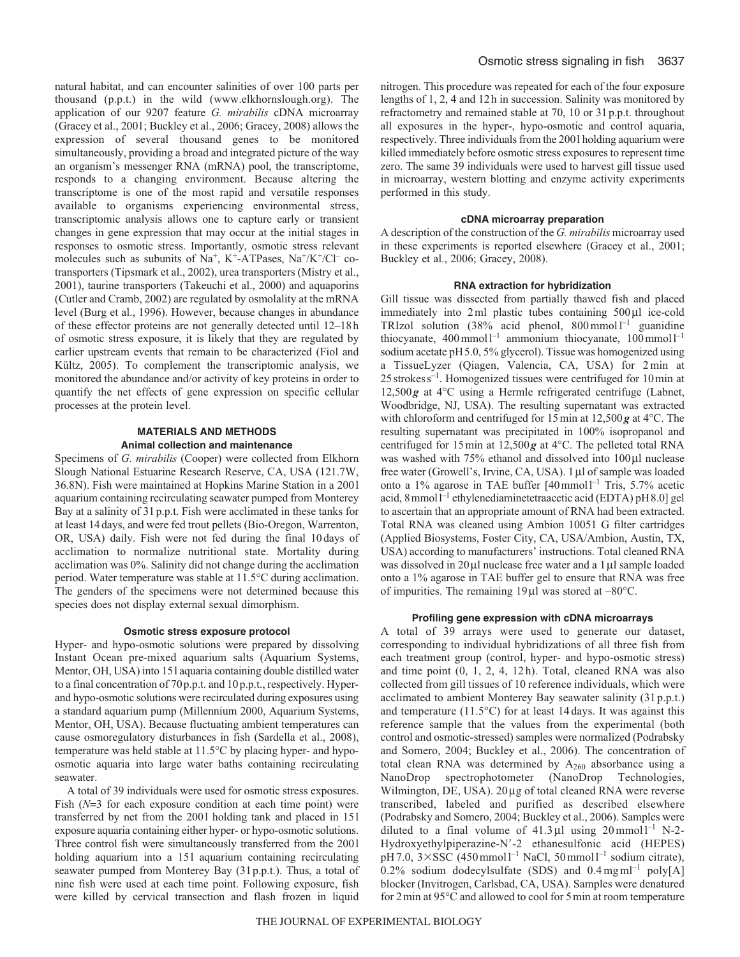natural habitat, and can encounter salinities of over 100 parts per thousand (p.p.t.) in the wild (www.elkhornslough.org). The application of our 9207 feature *G. mirabilis* cDNA microarray (Gracey et al., 2001; Buckley et al., 2006; Gracey, 2008) allows the expression of several thousand genes to be monitored simultaneously, providing a broad and integrated picture of the way an organism's messenger RNA (mRNA) pool, the transcriptome, responds to a changing environment. Because altering the transcriptome is one of the most rapid and versatile responses available to organisms experiencing environmental stress, transcriptomic analysis allows one to capture early or transient changes in gene expression that may occur at the initial stages in responses to osmotic stress. Importantly, osmotic stress relevant molecules such as subunits of  $Na^+$ ,  $K^+$ -ATPases,  $Na^+/K^+/Cl^-$  cotransporters (Tipsmark et al., 2002), urea transporters (Mistry et al., 2001), taurine transporters (Takeuchi et al., 2000) and aquaporins (Cutler and Cramb, 2002) are regulated by osmolality at the mRNA level (Burg et al., 1996). However, because changes in abundance of these effector proteins are not generally detected until 12–18h of osmotic stress exposure, it is likely that they are regulated by earlier upstream events that remain to be characterized (Fiol and Kültz, 2005). To complement the transcriptomic analysis, we monitored the abundance and/or activity of key proteins in order to quantify the net effects of gene expression on specific cellular processes at the protein level.

# **MATERIALS AND METHODS Animal collection and maintenance**

Specimens of *G. mirabilis* (Cooper) were collected from Elkhorn Slough National Estuarine Research Reserve, CA, USA (121.7W, 36.8N). Fish were maintained at Hopkins Marine Station in a 200l aquarium containing recirculating seawater pumped from Monterey Bay at a salinity of 31p.p.t. Fish were acclimated in these tanks for at least 14days, and were fed trout pellets (Bio-Oregon, Warrenton, OR, USA) daily. Fish were not fed during the final 10days of acclimation to normalize nutritional state. Mortality during acclimation was 0%. Salinity did not change during the acclimation period. Water temperature was stable at 11.5°C during acclimation. The genders of the specimens were not determined because this species does not display external sexual dimorphism.

# **Osmotic stress exposure protocol**

Hyper- and hypo-osmotic solutions were prepared by dissolving Instant Ocean pre-mixed aquarium salts (Aquarium Systems, Mentor, OH, USA) into 15l aquaria containing double distilled water to a final concentration of 70p.p.t. and 10p.p.t., respectively. Hyperand hypo-osmotic solutions were recirculated during exposures using a standard aquarium pump (Millennium 2000, Aquarium Systems, Mentor, OH, USA). Because fluctuating ambient temperatures can cause osmoregulatory disturbances in fish (Sardella et al., 2008), temperature was held stable at 11.5°C by placing hyper- and hypoosmotic aquaria into large water baths containing recirculating seawater.

A total of 39 individuals were used for osmotic stress exposures. Fish ( $N=3$  for each exposure condition at each time point) were transferred by net from the 200l holding tank and placed in 15l exposure aquaria containing either hyper- or hypo-osmotic solutions. Three control fish were simultaneously transferred from the 200l holding aquarium into a 15l aquarium containing recirculating seawater pumped from Monterey Bay (31p.p.t.). Thus, a total of nine fish were used at each time point. Following exposure, fish were killed by cervical transection and flash frozen in liquid nitrogen. This procedure was repeated for each of the four exposure lengths of 1, 2, 4 and 12h in succession. Salinity was monitored by refractometry and remained stable at 70, 10 or 31p.p.t. throughout all exposures in the hyper-, hypo-osmotic and control aquaria, respectively. Three individuals from the 200l holding aquarium were killed immediately before osmotic stress exposures to represent time zero. The same 39 individuals were used to harvest gill tissue used in microarray, western blotting and enzyme activity experiments performed in this study.

## **cDNA microarray preparation**

A description of the construction of the *G. mirabilis* microarray used in these experiments is reported elsewhere (Gracey et al., 2001; Buckley et al., 2006; Gracey, 2008).

# **RNA extraction for hybridization**

Gill tissue was dissected from partially thawed fish and placed immediately into 2ml plastic tubes containing 500μl ice-cold TRIzol solution (38% acid phenol, 800 mmol  $1^{-1}$  guanidine thiocyanate,  $400$  mmol<sup>1-1</sup> ammonium thiocyanate,  $100$  mmol<sup>1-1</sup> sodium acetate pH5.0, 5% glycerol). Tissue was homogenized using a TissueLyzer (Qiagen, Valencia, CA, USA) for 2 min at  $25$  strokes  $s^{-1}$ . Homogenized tissues were centrifuged for 10 min at 12,500*g* at 4°C using a Hermle refrigerated centrifuge (Labnet, Woodbridge, NJ, USA). The resulting supernatant was extracted with chloroform and centrifuged for 15min at 12,500*g* at 4°C. The resulting supernatant was precipitated in 100% isopropanol and centrifuged for 15min at 12,500*g* at 4°C. The pelleted total RNA was washed with 75% ethanol and dissolved into 100μl nuclease free water (Growell's, Irvine, CA, USA). 1μl of sample was loaded onto a 1% agarose in TAE buffer  $[40 \text{ mmol}]^{-1}$  Tris, 5.7% acetic acid, 8mmoll–1 ethylenediaminetetraacetic acid (EDTA) pH8.0] gel to ascertain that an appropriate amount of RNA had been extracted. Total RNA was cleaned using Ambion 10051 G filter cartridges (Applied Biosystems, Foster City, CA, USA/Ambion, Austin, TX, USA) according to manufacturers' instructions. Total cleaned RNA was dissolved in 20μl nuclease free water and a 1μl sample loaded onto a 1% agarose in TAE buffer gel to ensure that RNA was free of impurities. The remaining 19μl was stored at –80°C.

# **Profiling gene expression with cDNA microarrays**

A total of 39 arrays were used to generate our dataset, corresponding to individual hybridizations of all three fish from each treatment group (control, hyper- and hypo-osmotic stress) and time point (0, 1, 2, 4, 12h). Total, cleaned RNA was also collected from gill tissues of 10 reference individuals, which were acclimated to ambient Monterey Bay seawater salinity (31p.p.t.) and temperature (11.5°C) for at least 14days. It was against this reference sample that the values from the experimental (both control and osmotic-stressed) samples were normalized (Podrabsky and Somero, 2004; Buckley et al., 2006). The concentration of total clean RNA was determined by A260 absorbance using a NanoDrop spectrophotometer (NanoDrop Technologies, Wilmington, DE, USA). 20μg of total cleaned RNA were reverse transcribed, labeled and purified as described elsewhere (Podrabsky and Somero, 2004; Buckley et al., 2006). Samples were diluted to a final volume of  $41.3 \mu$ l using  $20 \text{mmol}$ <sup>1-1</sup> N-2-Hydroxyethylpiperazine-N--2 ethanesulfonic acid (HEPES)  $pH7.0$ ,  $3 \times SSC$  (450 mmol<sup>1-1</sup> NaCl, 50 mmol<sup>1-1</sup> sodium citrate), 0.2% sodium dodecylsulfate (SDS) and  $0.4$  mg ml<sup>-1</sup> poly[A] blocker (Invitrogen, Carlsbad, CA, USA). Samples were denatured for 2min at 95°C and allowed to cool for 5min at room temperature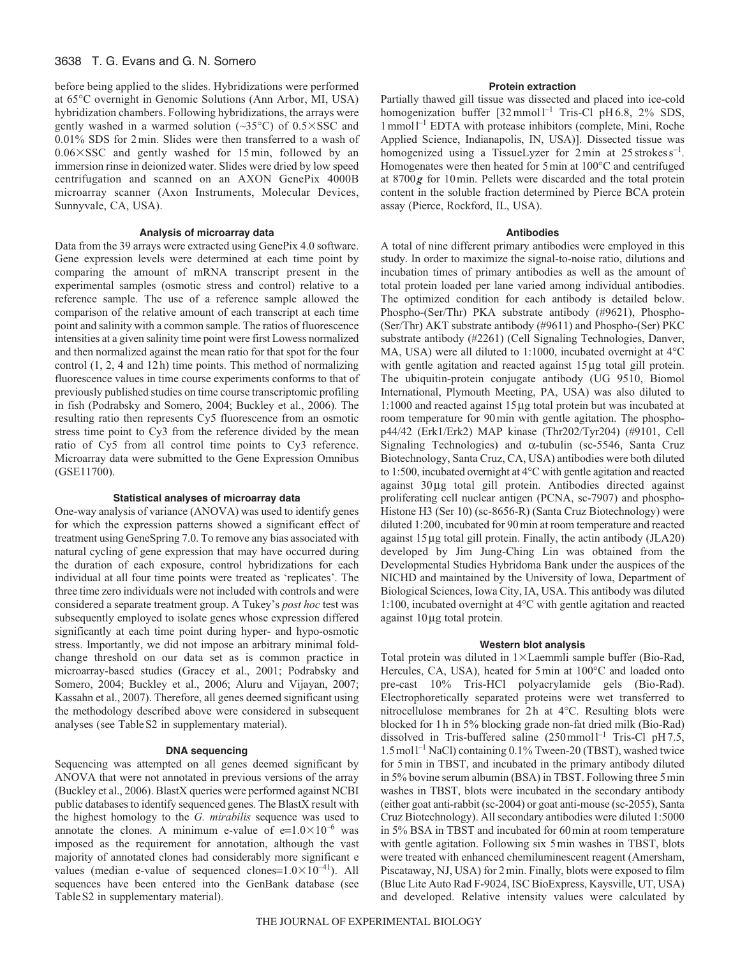# 3638 T. G. Evans and G. N. Somero

before being applied to the slides. Hybridizations were performed at 65°C overnight in Genomic Solutions (Ann Arbor, MI, USA) hybridization chambers. Following hybridizations, the arrays were gently washed in a warmed solution  $(\sim 35^{\circ}C)$  of  $0.5 \times SSC$  and 0.01% SDS for 2min. Slides were then transferred to a wash of  $0.06 \times SSC$  and gently washed for 15 min, followed by an immersion rinse in deionized water. Slides were dried by low speed centrifugation and scanned on an AXON GenePix 4000B microarray scanner (Axon Instruments, Molecular Devices, Sunnyvale, CA, USA).

# **Analysis of microarray data**

Data from the 39 arrays were extracted using GenePix 4.0 software. Gene expression levels were determined at each time point by comparing the amount of mRNA transcript present in the experimental samples (osmotic stress and control) relative to a reference sample. The use of a reference sample allowed the comparison of the relative amount of each transcript at each time point and salinity with a common sample. The ratios of fluorescence intensities at a given salinity time point were first Lowess normalized and then normalized against the mean ratio for that spot for the four control (1, 2, 4 and 12h) time points. This method of normalizing fluorescence values in time course experiments conforms to that of previously published studies on time course transcriptomic profiling in fish (Podrabsky and Somero, 2004; Buckley et al., 2006). The resulting ratio then represents Cy5 fluorescence from an osmotic stress time point to Cy3 from the reference divided by the mean ratio of Cy5 from all control time points to Cy3 reference. Microarray data were submitted to the Gene Expression Omnibus (GSE11700).

# **Statistical analyses of microarray data**

One-way analysis of variance (ANOVA) was used to identify genes for which the expression patterns showed a significant effect of treatment using GeneSpring 7.0. To remove any bias associated with natural cycling of gene expression that may have occurred during the duration of each exposure, control hybridizations for each individual at all four time points were treated as 'replicates'. The three time zero individuals were not included with controls and were considered a separate treatment group. A Tukey's *post hoc* test was subsequently employed to isolate genes whose expression differed significantly at each time point during hyper- and hypo-osmotic stress. Importantly, we did not impose an arbitrary minimal foldchange threshold on our data set as is common practice in microarray-based studies (Gracey et al., 2001; Podrabsky and Somero, 2004; Buckley et al., 2006; Aluru and Vijayan, 2007; Kassahn et al., 2007). Therefore, all genes deemed significant using the methodology described above were considered in subsequent analyses (see TableS2 in supplementary material).

#### **DNA sequencing**

Sequencing was attempted on all genes deemed significant by ANOVA that were not annotated in previous versions of the array (Buckley et al., 2006). BlastX queries were performed against NCBI public databases to identify sequenced genes. The BlastX result with the highest homology to the *G. mirabilis* sequence was used to annotate the clones. A minimum e-value of  $e=1.0\times10^{-6}$  was imposed as the requirement for annotation, although the vast majority of annotated clones had considerably more significant e values (median e-value of sequenced clones= $1.0\times10^{-41}$ ). All sequences have been entered into the GenBank database (see Table S2 in supplementary material).

## **Protein extraction**

Partially thawed gill tissue was dissected and placed into ice-cold homogenization buffer [32 mmol<sup>1-1</sup> Tris-Cl pH 6.8, 2% SDS, 1mmoll–1 EDTA with protease inhibitors (complete, Mini, Roche Applied Science, Indianapolis, IN, USA)]. Dissected tissue was homogenized using a TissueLyzer for  $2 \text{ min}$  at  $25 \text{ strokes} \text{ s}^{-1}$ . Homogenates were then heated for 5min at 100°C and centrifuged at 8700*g* for 10min. Pellets were discarded and the total protein content in the soluble fraction determined by Pierce BCA protein assay (Pierce, Rockford, IL, USA).

## **Antibodies**

A total of nine different primary antibodies were employed in this study. In order to maximize the signal-to-noise ratio, dilutions and incubation times of primary antibodies as well as the amount of total protein loaded per lane varied among individual antibodies. The optimized condition for each antibody is detailed below. Phospho-(Ser/Thr) PKA substrate antibody (#9621), Phospho- (Ser/Thr) AKT substrate antibody (#9611) and Phospho-(Ser) PKC substrate antibody (#2261) (Cell Signaling Technologies, Danver, MA, USA) were all diluted to 1:1000, incubated overnight at 4°C with gentle agitation and reacted against 15μg total gill protein. The ubiquitin-protein conjugate antibody (UG 9510, Biomol International, Plymouth Meeting, PA, USA) was also diluted to 1:1000 and reacted against 15μg total protein but was incubated at room temperature for 90min with gentle agitation. The phosphop44/42 (Erk1/Erk2) MAP kinase (Thr202/Tyr204) (#9101, Cell Signaling Technologies) and α-tubulin (sc-5546, Santa Cruz Biotechnology, Santa Cruz, CA, USA) antibodies were both diluted to 1:500, incubated overnight at 4°C with gentle agitation and reacted against 30μg total gill protein. Antibodies directed against proliferating cell nuclear antigen (PCNA, sc-7907) and phospho-Histone H3 (Ser 10) (sc-8656-R) (Santa Cruz Biotechnology) were diluted 1:200, incubated for 90min at room temperature and reacted against 15μg total gill protein. Finally, the actin antibody (JLA20) developed by Jim Jung-Ching Lin was obtained from the Developmental Studies Hybridoma Bank under the auspices of the NICHD and maintained by the University of Iowa, Department of Biological Sciences, Iowa City, IA, USA. This antibody was diluted 1:100, incubated overnight at 4°C with gentle agitation and reacted against 10μg total protein.

#### **Western blot analysis**

Total protein was diluted in  $1 \times$ Laemmli sample buffer (Bio-Rad, Hercules, CA, USA), heated for 5min at 100°C and loaded onto pre-cast 10% Tris-HCl polyacrylamide gels (Bio-Rad). Electrophoretically separated proteins were wet transferred to nitrocellulose membranes for 2h at 4°C. Resulting blots were blocked for 1h in 5% blocking grade non-fat dried milk (Bio-Rad) dissolved in Tris-buffered saline  $(250 \text{ mmol})^{-1}$  Tris-Cl pH7.5, 1.5moll–1 NaCl) containing 0.1% Tween-20 (TBST), washed twice for 5min in TBST, and incubated in the primary antibody diluted in 5% bovine serum albumin (BSA) in TBST. Following three 5min washes in TBST, blots were incubated in the secondary antibody (either goat anti-rabbit (sc-2004) or goat anti-mouse (sc-2055), Santa Cruz Biotechnology). All secondary antibodies were diluted 1:5000 in 5% BSA in TBST and incubated for 60min at room temperature with gentle agitation. Following six 5min washes in TBST, blots were treated with enhanced chemiluminescent reagent (Amersham, Piscataway, NJ, USA) for 2min. Finally, blots were exposed to film (Blue Lite Auto Rad F-9024, ISC BioExpress, Kaysville, UT, USA) and developed. Relative intensity values were calculated by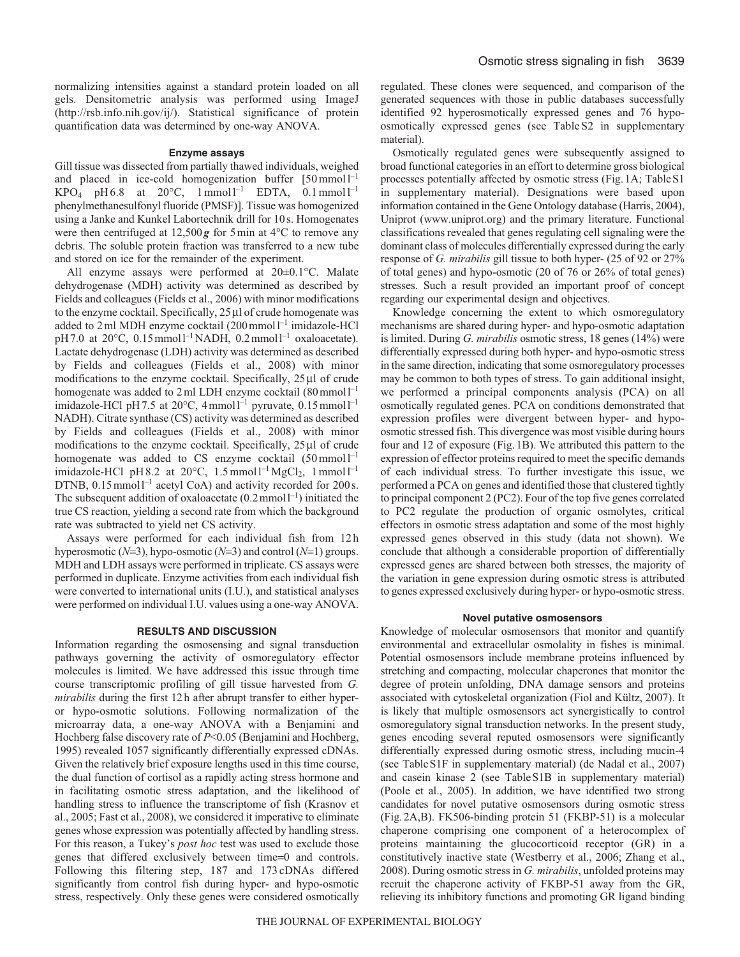normalizing intensities against a standard protein loaded on all gels. Densitometric analysis was performed using ImageJ (http://rsb.info.nih.gov/ij/). Statistical significance of protein quantification data was determined by one-way ANOVA.

# **Enzyme assays**

Gill tissue was dissected from partially thawed individuals, weighed and placed in ice-cold homogenization buffer  $[50 \text{ mmol}]^{-1}$  $KPO<sub>4</sub>$  pH 6.8 at 20°C, 1 mmol l<sup>-1</sup> EDTA, 0.1 mmol l<sup>-1</sup> phenylmethanesulfonyl fluoride (PMSF)]. Tissue was homogenized using a Janke and Kunkel Labortechnik drill for 10s. Homogenates were then centrifuged at  $12,500g$  for 5 min at 4<sup>o</sup>C to remove any debris. The soluble protein fraction was transferred to a new tube and stored on ice for the remainder of the experiment.

All enzyme assays were performed at 20±0.1°C. Malate dehydrogenase (MDH) activity was determined as described by Fields and colleagues (Fields et al., 2006) with minor modifications to the enzyme cocktail. Specifically, 25μl of crude homogenate was added to 2 ml MDH enzyme cocktail  $(200 \text{ mmol})^{-1}$  imidazole-HCl pH7.0 at 20 $^{\circ}$ C, 0.15 mmoll<sup>-1</sup> NADH, 0.2 mmoll<sup>-1</sup> oxaloacetate). Lactate dehydrogenase (LDH) activity was determined as described by Fields and colleagues (Fields et al., 2008) with minor modifications to the enzyme cocktail. Specifically, 25μl of crude homogenate was added to 2 ml LDH enzyme cocktail  $(80 \text{mmol})^{-1}$ imidazole-HCl pH7.5 at 20 $^{\circ}$ C, 4mmoll<sup>-1</sup> pyruvate, 0.15mmoll<sup>-1</sup> NADH). Citrate synthase (CS) activity was determined as described by Fields and colleagues (Fields et al., 2008) with minor modifications to the enzyme cocktail. Specifically, 25μl of crude homogenate was added to CS enzyme cocktail  $(50 \text{ mmol})^{-1}$ imidazole-HCl pH 8.2 at 20°C,  $1.5$  mmol  $l^{-1}$  MgCl<sub>2</sub>,  $1$  mmol  $l^{-1}$ DTNB,  $0.15$  mmol<sup> $1$ </sup> acetyl CoA) and activity recorded for 200 s. The subsequent addition of oxaloacetate  $(0.2 \text{ mmol1}^{-1})$  initiated the true CS reaction, yielding a second rate from which the background rate was subtracted to yield net CS activity.

Assays were performed for each individual fish from 12 h hyperosmotic (*N*=3), hypo-osmotic (*N*=3) and control (*N*=1) groups. MDH and LDH assays were performed in triplicate. CS assays were performed in duplicate. Enzyme activities from each individual fish were converted to international units (I.U.), and statistical analyses were performed on individual I.U. values using a one-way ANOVA.

# **RESULTS AND DISCUSSION**

Information regarding the osmosensing and signal transduction pathways governing the activity of osmoregulatory effector molecules is limited. We have addressed this issue through time course transcriptomic profiling of gill tissue harvested from *G. mirabilis* during the first 12h after abrupt transfer to either hyperor hypo-osmotic solutions. Following normalization of the microarray data, a one-way ANOVA with a Benjamini and Hochberg false discovery rate of *P*<0.05 (Benjamini and Hochberg, 1995) revealed 1057 significantly differentially expressed cDNAs. Given the relatively brief exposure lengths used in this time course, the dual function of cortisol as a rapidly acting stress hormone and in facilitating osmotic stress adaptation, and the likelihood of handling stress to influence the transcriptome of fish (Krasnov et al., 2005; Fast et al., 2008), we considered it imperative to eliminate genes whose expression was potentially affected by handling stress. For this reason, a Tukey's *post hoc* test was used to exclude those genes that differed exclusively between time=0 and controls. Following this filtering step, 187 and 173 cDNAs differed significantly from control fish during hyper- and hypo-osmotic stress, respectively. Only these genes were considered osmotically

regulated. These clones were sequenced, and comparison of the generated sequences with those in public databases successfully identified 92 hyperosmotically expressed genes and 76 hypoosmotically expressed genes (see Table S2 in supplementary material).

Osmotically regulated genes were subsequently assigned to broad functional categories in an effort to determine gross biological processes potentially affected by osmotic stress (Fig.1A; TableS1 in supplementary material). Designations were based upon information contained in the Gene Ontology database (Harris, 2004), Uniprot (www.uniprot.org) and the primary literature. Functional classifications revealed that genes regulating cell signaling were the dominant class of molecules differentially expressed during the early response of *G. mirabilis* gill tissue to both hyper- (25 of 92 or 27% of total genes) and hypo-osmotic (20 of 76 or 26% of total genes) stresses. Such a result provided an important proof of concept regarding our experimental design and objectives.

Knowledge concerning the extent to which osmoregulatory mechanisms are shared during hyper- and hypo-osmotic adaptation is limited. During *G. mirabilis* osmotic stress, 18 genes (14%) were differentially expressed during both hyper- and hypo-osmotic stress in the same direction, indicating that some osmoregulatory processes may be common to both types of stress. To gain additional insight, we performed a principal components analysis (PCA) on all osmotically regulated genes. PCA on conditions demonstrated that expression profiles were divergent between hyper- and hypoosmotic stressed fish. This divergence was most visible during hours four and 12 of exposure (Fig.1B). We attributed this pattern to the expression of effector proteins required to meet the specific demands of each individual stress. To further investigate this issue, we performed a PCA on genes and identified those that clustered tightly to principal component 2 (PC2). Four of the top five genes correlated to PC2 regulate the production of organic osmolytes, critical effectors in osmotic stress adaptation and some of the most highly expressed genes observed in this study (data not shown). We conclude that although a considerable proportion of differentially expressed genes are shared between both stresses, the majority of the variation in gene expression during osmotic stress is attributed to genes expressed exclusively during hyper- or hypo-osmotic stress.

#### **Novel putative osmosensors**

Knowledge of molecular osmosensors that monitor and quantify environmental and extracellular osmolality in fishes is minimal. Potential osmosensors include membrane proteins influenced by stretching and compacting, molecular chaperones that monitor the degree of protein unfolding, DNA damage sensors and proteins associated with cytoskeletal organization (Fiol and Kültz, 2007). It is likely that multiple osmosensors act synergistically to control osmoregulatory signal transduction networks. In the present study, genes encoding several reputed osmosensors were significantly differentially expressed during osmotic stress, including mucin-4 (see TableS1F in supplementary material) (de Nadal et al., 2007) and casein kinase 2 (see TableS1B in supplementary material) (Poole et al., 2005). In addition, we have identified two strong candidates for novel putative osmosensors during osmotic stress (Fig.2A,B). FK506-binding protein 51 (FKBP-51) is a molecular chaperone comprising one component of a heterocomplex of proteins maintaining the glucocorticoid receptor (GR) in a constitutively inactive state (Westberry et al., 2006; Zhang et al., 2008). During osmotic stress in *G. mirabilis*, unfolded proteins may recruit the chaperone activity of FKBP-51 away from the GR, relieving its inhibitory functions and promoting GR ligand binding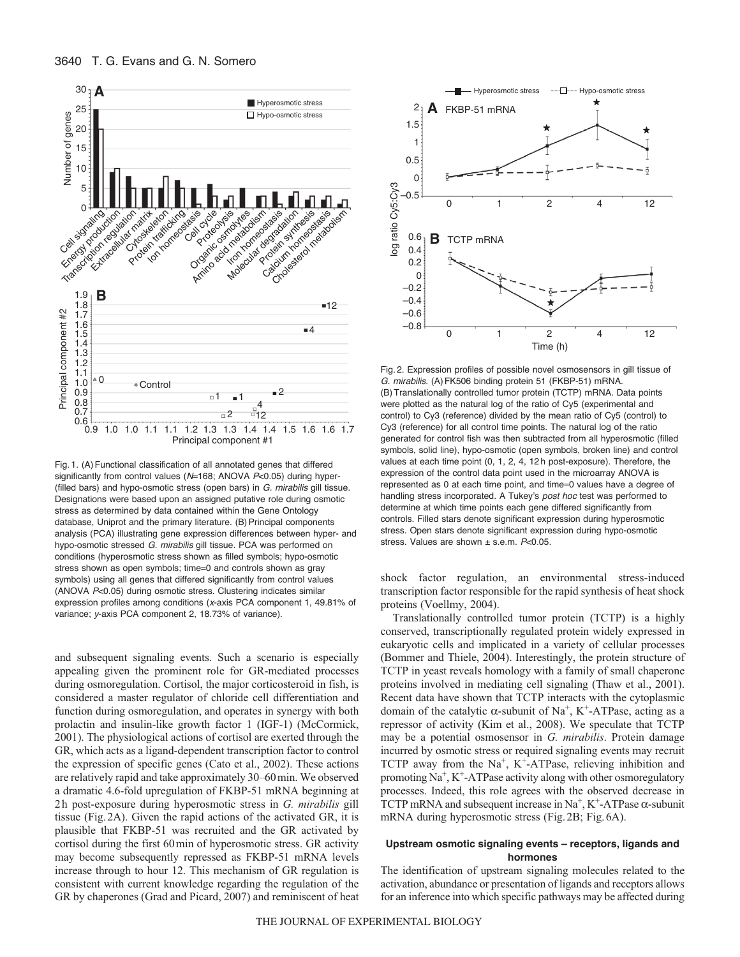

Fig. 1. (A) Functional classification of all annotated genes that differed significantly from control values  $(N=168; ANOVA$   $P< 0.05)$  during hyper-(filled bars) and hypo-osmotic stress (open bars) in  $G$ . mirabilis gill tissue. Designations were based upon an assigned putative role during osmotic stress as determined by data contained within the Gene Ontology database, Uniprot and the primary literature. (B) Principal components analysis (PCA) illustrating gene expression differences between hyper- and hypo-osmotic stressed G. mirabilis gill tissue. PCA was performed on conditions (hyperosmotic stress shown as filled symbols; hypo-osmotic stress shown as open symbols; time=0 and controls shown as gray symbols) using all genes that differed significantly from control values (ANOVA P<0.05) during osmotic stress. Clustering indicates similar expression profiles among conditions (x-axis PCA component 1, 49.81% of variance; y-axis PCA component 2, 18.73% of variance).

and subsequent signaling events. Such a scenario is especially appealing given the prominent role for GR-mediated processes during osmoregulation. Cortisol, the major corticosteroid in fish, is considered a master regulator of chloride cell differentiation and function during osmoregulation, and operates in synergy with both prolactin and insulin-like growth factor 1 (IGF-1) (McCormick, 2001). The physiological actions of cortisol are exerted through the GR, which acts as a ligand-dependent transcription factor to control the expression of specific genes (Cato et al., 2002). These actions are relatively rapid and take approximately 30–60min. We observed a dramatic 4.6-fold upregulation of FKBP-51 mRNA beginning at 2h post-exposure during hyperosmotic stress in *G. mirabilis* gill tissue (Fig.2A). Given the rapid actions of the activated GR, it is plausible that FKBP-51 was recruited and the GR activated by cortisol during the first 60min of hyperosmotic stress. GR activity may become subsequently repressed as FKBP-51 mRNA levels increase through to hour 12. This mechanism of GR regulation is consistent with current knowledge regarding the regulation of the GR by chaperones (Grad and Picard, 2007) and reminiscent of heat



Fig. 2. Expression profiles of possible novel osmosensors in gill tissue of G. mirabilis. (A) FK506 binding protein 51 (FKBP-51) mRNA. (B) Translationally controlled tumor protein (TCTP) mRNA. Data points were plotted as the natural log of the ratio of Cy5 (experimental and control) to Cy3 (reference) divided by the mean ratio of Cy5 (control) to Cy3 (reference) for all control time points. The natural log of the ratio generated for control fish was then subtracted from all hyperosmotic (filled symbols, solid line), hypo-osmotic (open symbols, broken line) and control values at each time point (0, 1, 2, 4, 12 h post-exposure). Therefore, the expression of the control data point used in the microarray ANOVA is represented as 0 at each time point, and time=0 values have a degree of handling stress incorporated. A Tukey's post hoc test was performed to determine at which time points each gene differed significantly from controls. Filled stars denote significant expression during hyperosmotic stress. Open stars denote significant expression during hypo-osmotic stress. Values are shown ± s.e.m. P<0.05.

shock factor regulation, an environmental stress-induced transcription factor responsible for the rapid synthesis of heat shock proteins (Voellmy, 2004).

Translationally controlled tumor protein (TCTP) is a highly conserved, transcriptionally regulated protein widely expressed in eukaryotic cells and implicated in a variety of cellular processes (Bommer and Thiele, 2004). Interestingly, the protein structure of TCTP in yeast reveals homology with a family of small chaperone proteins involved in mediating cell signaling (Thaw et al., 2001). Recent data have shown that TCTP interacts with the cytoplasmic domain of the catalytic  $\alpha$ -subunit of Na<sup>+</sup>, K<sup>+</sup>-ATPase, acting as a repressor of activity (Kim et al., 2008). We speculate that TCTP may be a potential osmosensor in *G. mirabilis*. Protein damage incurred by osmotic stress or required signaling events may recruit TCTP away from the Na<sup>+</sup>, K<sup>+</sup>-ATPase, relieving inhibition and promoting  $Na^+$ ,  $K^+$ -ATPase activity along with other osmoregulatory processes. Indeed, this role agrees with the observed decrease in TCTP mRNA and subsequent increase in Na<sup>+</sup>, K<sup>+</sup>-ATPase  $\alpha$ -subunit mRNA during hyperosmotic stress (Fig.2B; Fig.6A).

# **Upstream osmotic signaling events – receptors, ligands and hormones**

The identification of upstream signaling molecules related to the activation, abundance or presentation of ligands and receptors allows for an inference into which specific pathways may be affected during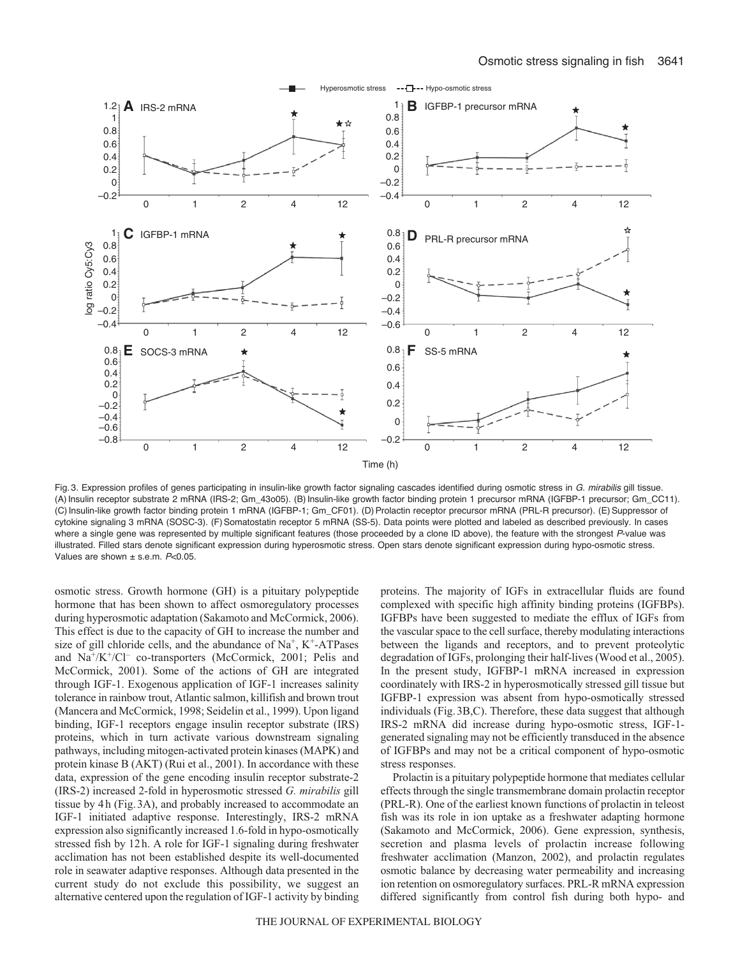

Fig. 3. Expression profiles of genes participating in insulin-like growth factor signaling cascades identified during osmotic stress in G. mirabilis gill tissue. (A) Insulin receptor substrate 2 mRNA (IRS-2; Gm\_43o05). (B) Insulin-like growth factor binding protein 1 precursor mRNA (IGFBP-1 precursor; Gm\_CC11). (C) Insulin-like growth factor binding protein 1 mRNA (IGFBP-1; Gm\_CF01). (D) Prolactin receptor precursor mRNA (PRL-R precursor). (E) Suppressor of cytokine signaling 3 mRNA (SOSC-3). (F) Somatostatin receptor 5 mRNA (SS-5). Data points were plotted and labeled as described previously. In cases where a single gene was represented by multiple significant features (those proceeded by a clone ID above), the feature with the strongest P-value was illustrated. Filled stars denote significant expression during hyperosmotic stress. Open stars denote significant expression during hypo-osmotic stress. Values are shown  $\pm$  s.e.m.  $P<0.05$ .

osmotic stress. Growth hormone (GH) is a pituitary polypeptide hormone that has been shown to affect osmoregulatory processes during hyperosmotic adaptation (Sakamoto and McCormick, 2006). This effect is due to the capacity of GH to increase the number and size of gill chloride cells, and the abundance of  $Na<sup>+</sup>, K<sup>+</sup>$ -ATPases and  $Na^+/K^+/Cl^-$  co-transporters (McCormick, 2001; Pelis and McCormick, 2001). Some of the actions of GH are integrated through IGF-1. Exogenous application of IGF-1 increases salinity tolerance in rainbow trout, Atlantic salmon, killifish and brown trout (Mancera and McCormick, 1998; Seidelin et al., 1999). Upon ligand binding, IGF-1 receptors engage insulin receptor substrate (IRS) proteins, which in turn activate various downstream signaling pathways, including mitogen-activated protein kinases (MAPK) and protein kinase B (AKT) (Rui et al., 2001). In accordance with these data, expression of the gene encoding insulin receptor substrate-2 (IRS-2) increased 2-fold in hyperosmotic stressed *G. mirabilis* gill tissue by 4h (Fig.3A), and probably increased to accommodate an IGF-1 initiated adaptive response. Interestingly, IRS-2 mRNA expression also significantly increased 1.6-fold in hypo-osmotically stressed fish by 12h. A role for IGF-1 signaling during freshwater acclimation has not been established despite its well-documented role in seawater adaptive responses. Although data presented in the current study do not exclude this possibility, we suggest an alternative centered upon the regulation of IGF-1 activity by binding proteins. The majority of IGFs in extracellular fluids are found complexed with specific high affinity binding proteins (IGFBPs). IGFBPs have been suggested to mediate the efflux of IGFs from the vascular space to the cell surface, thereby modulating interactions between the ligands and receptors, and to prevent proteolytic degradation of IGFs, prolonging their half-lives (Wood et al., 2005). In the present study, IGFBP-1 mRNA increased in expression coordinately with IRS-2 in hyperosmotically stressed gill tissue but IGFBP-1 expression was absent from hypo-osmotically stressed individuals (Fig.3B,C). Therefore, these data suggest that although IRS-2 mRNA did increase during hypo-osmotic stress, IGF-1 generated signaling may not be efficiently transduced in the absence of IGFBPs and may not be a critical component of hypo-osmotic stress responses.

Prolactin is a pituitary polypeptide hormone that mediates cellular effects through the single transmembrane domain prolactin receptor (PRL-R). One of the earliest known functions of prolactin in teleost fish was its role in ion uptake as a freshwater adapting hormone (Sakamoto and McCormick, 2006). Gene expression, synthesis, secretion and plasma levels of prolactin increase following freshwater acclimation (Manzon, 2002), and prolactin regulates osmotic balance by decreasing water permeability and increasing ion retention on osmoregulatory surfaces. PRL-R mRNA expression differed significantly from control fish during both hypo- and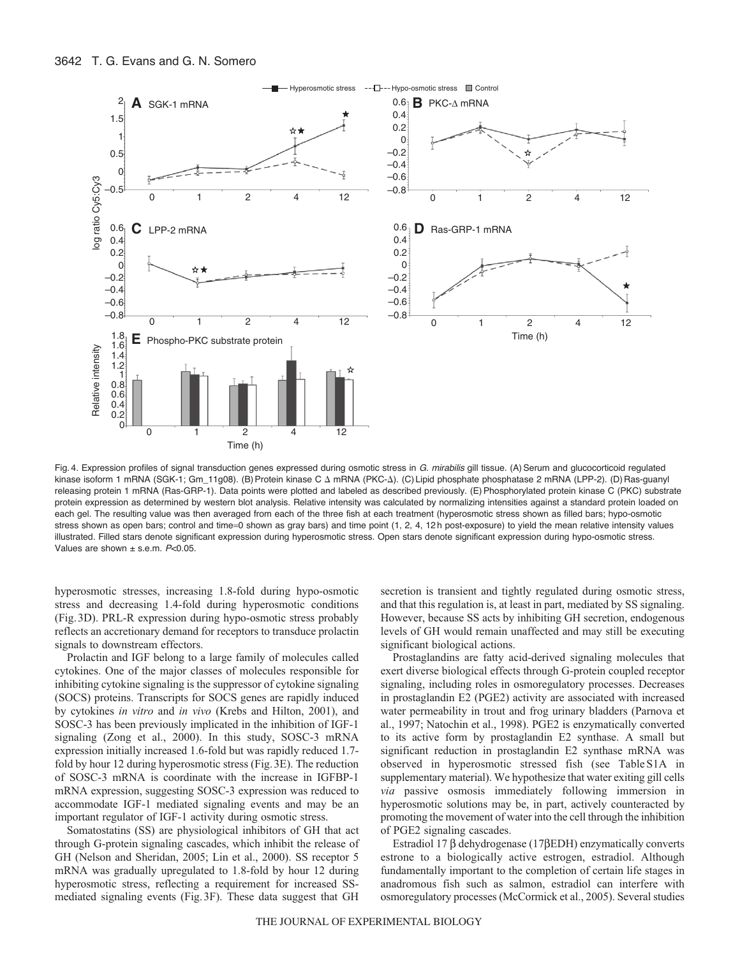

Fig. 4. Expression profiles of signal transduction genes expressed during osmotic stress in G. mirabilis gill tissue. (A) Serum and glucocorticoid regulated kinase isoform 1 mRNA (SGK-1; Gm\_11g08). (B) Protein kinase C  $\Delta$  mRNA (PKC- $\Delta$ ). (C) Lipid phosphate phosphatase 2 mRNA (LPP-2). (D) Ras-guanyl releasing protein 1 mRNA (Ras-GRP-1). Data points were plotted and labeled as described previously. (E) Phosphorylated protein kinase C (PKC) substrate protein expression as determined by western blot analysis. Relative intensity was calculated by normalizing intensities against a standard protein loaded on each gel. The resulting value was then averaged from each of the three fish at each treatment (hyperosmotic stress shown as filled bars; hypo-osmotic stress shown as open bars; control and time=0 shown as gray bars) and time point (1, 2, 4, 12 h post-exposure) to yield the mean relative intensity values illustrated. Filled stars denote significant expression during hyperosmotic stress. Open stars denote significant expression during hypo-osmotic stress. Values are shown  $\pm$  s.e.m.  $P<0.05$ .

hyperosmotic stresses, increasing 1.8-fold during hypo-osmotic stress and decreasing 1.4-fold during hyperosmotic conditions (Fig.3D). PRL-R expression during hypo-osmotic stress probably reflects an accretionary demand for receptors to transduce prolactin signals to downstream effectors.

Prolactin and IGF belong to a large family of molecules called cytokines. One of the major classes of molecules responsible for inhibiting cytokine signaling is the suppressor of cytokine signaling (SOCS) proteins. Transcripts for SOCS genes are rapidly induced by cytokines *in vitro* and *in vivo* (Krebs and Hilton, 2001), and SOSC-3 has been previously implicated in the inhibition of IGF-1 signaling (Zong et al., 2000). In this study, SOSC-3 mRNA expression initially increased 1.6-fold but was rapidly reduced 1.7 fold by hour 12 during hyperosmotic stress (Fig.3E). The reduction of SOSC-3 mRNA is coordinate with the increase in IGFBP-1 mRNA expression, suggesting SOSC-3 expression was reduced to accommodate IGF-1 mediated signaling events and may be an important regulator of IGF-1 activity during osmotic stress.

Somatostatins (SS) are physiological inhibitors of GH that act through G-protein signaling cascades, which inhibit the release of GH (Nelson and Sheridan, 2005; Lin et al., 2000). SS receptor 5 mRNA was gradually upregulated to 1.8-fold by hour 12 during hyperosmotic stress, reflecting a requirement for increased SSmediated signaling events (Fig.3F). These data suggest that GH

secretion is transient and tightly regulated during osmotic stress, and that this regulation is, at least in part, mediated by SS signaling. However, because SS acts by inhibiting GH secretion, endogenous levels of GH would remain unaffected and may still be executing significant biological actions.

Prostaglandins are fatty acid-derived signaling molecules that exert diverse biological effects through G-protein coupled receptor signaling, including roles in osmoregulatory processes. Decreases in prostaglandin E2 (PGE2) activity are associated with increased water permeability in trout and frog urinary bladders (Parnova et al., 1997; Natochin et al., 1998). PGE2 is enzymatically converted to its active form by prostaglandin E2 synthase. A small but significant reduction in prostaglandin E2 synthase mRNA was observed in hyperosmotic stressed fish (see Table S1A in supplementary material). We hypothesize that water exiting gill cells *via* passive osmosis immediately following immersion in hyperosmotic solutions may be, in part, actively counteracted by promoting the movement of water into the cell through the inhibition of PGE2 signaling cascades.

Estradiol 17 β dehydrogenase (17βEDH) enzymatically converts estrone to a biologically active estrogen, estradiol. Although fundamentally important to the completion of certain life stages in anadromous fish such as salmon, estradiol can interfere with osmoregulatory processes (McCormick et al., 2005). Several studies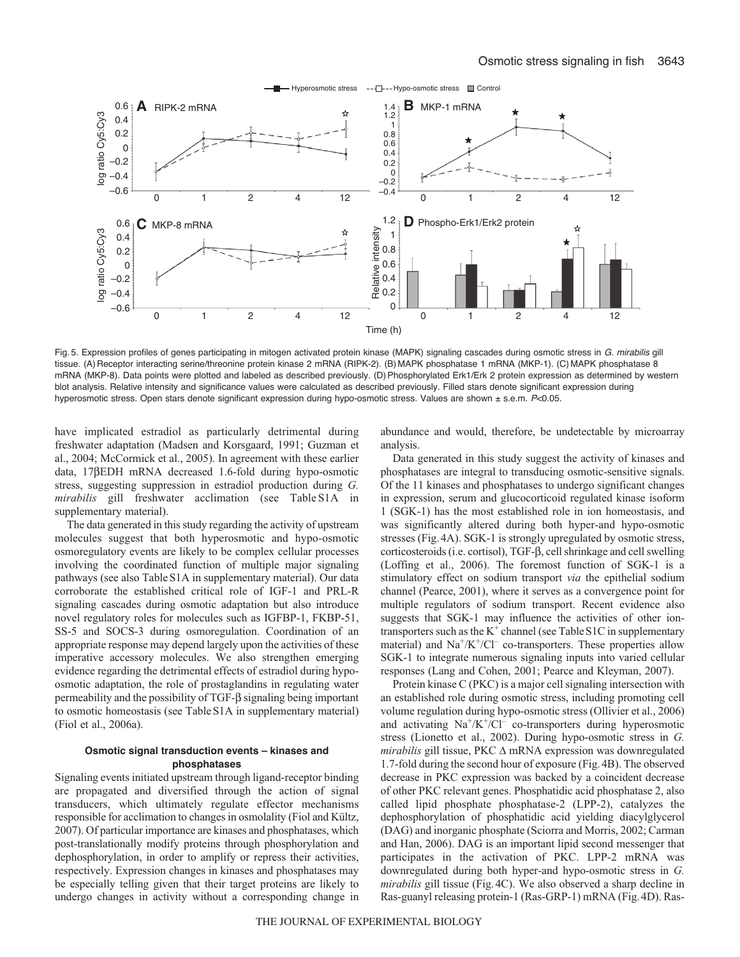

Fig. 5. Expression profiles of genes participating in mitogen activated protein kinase (MAPK) signaling cascades during osmotic stress in G. mirabilis gill tissue. (A) Receptor interacting serine/threonine protein kinase 2 mRNA (RIPK-2). (B) MAPK phosphatase 1 mRNA (MKP-1). (C) MAPK phosphatase 8 mRNA (MKP-8). Data points were plotted and labeled as described previously. (D) Phosphorylated Erk1/Erk 2 protein expression as determined by western blot analysis. Relative intensity and significance values were calculated as described previously. Filled stars denote significant expression during hyperosmotic stress. Open stars denote significant expression during hypo-osmotic stress. Values are shown ± s.e.m. P<0.05.

have implicated estradiol as particularly detrimental during freshwater adaptation (Madsen and Korsgaard, 1991; Guzman et al., 2004; McCormick et al., 2005). In agreement with these earlier data, 17βEDH mRNA decreased 1.6-fold during hypo-osmotic stress, suggesting suppression in estradiol production during *G. mirabilis* gill freshwater acclimation (see Table S1A in supplementary material).

The data generated in this study regarding the activity of upstream molecules suggest that both hyperosmotic and hypo-osmotic osmoregulatory events are likely to be complex cellular processes involving the coordinated function of multiple major signaling pathways (see also TableS1A in supplementary material). Our data corroborate the established critical role of IGF-1 and PRL-R signaling cascades during osmotic adaptation but also introduce novel regulatory roles for molecules such as IGFBP-1, FKBP-51, SS-5 and SOCS-3 during osmoregulation. Coordination of an appropriate response may depend largely upon the activities of these imperative accessory molecules. We also strengthen emerging evidence regarding the detrimental effects of estradiol during hypoosmotic adaptation, the role of prostaglandins in regulating water permeability and the possibility of TGF-β signaling being important to osmotic homeostasis (see TableS1A in supplementary material) (Fiol et al., 2006a).

# **Osmotic signal transduction events – kinases and phosphatases**

Signaling events initiated upstream through ligand-receptor binding are propagated and diversified through the action of signal transducers, which ultimately regulate effector mechanisms responsible for acclimation to changes in osmolality (Fiol and Kültz, 2007). Of particular importance are kinases and phosphatases, which post-translationally modify proteins through phosphorylation and dephosphorylation, in order to amplify or repress their activities, respectively. Expression changes in kinases and phosphatases may be especially telling given that their target proteins are likely to undergo changes in activity without a corresponding change in abundance and would, therefore, be undetectable by microarray analysis.

Data generated in this study suggest the activity of kinases and phosphatases are integral to transducing osmotic-sensitive signals. Of the 11 kinases and phosphatases to undergo significant changes in expression, serum and glucocorticoid regulated kinase isoform 1 (SGK-1) has the most established role in ion homeostasis, and was significantly altered during both hyper-and hypo-osmotic stresses (Fig.4A). SGK-1 is strongly upregulated by osmotic stress, corticosteroids (i.e. cortisol), TGF-β, cell shrinkage and cell swelling (Loffing et al., 2006). The foremost function of SGK-1 is a stimulatory effect on sodium transport *via* the epithelial sodium channel (Pearce, 2001), where it serves as a convergence point for multiple regulators of sodium transport. Recent evidence also suggests that SGK-1 may influence the activities of other iontransporters such as the  $K^+$  channel (see Table S1C in supplementary material) and  $\text{Na}^{\text{+}}/\text{K}^{\text{+}}/\text{Cl}^-$  co-transporters. These properties allow SGK-1 to integrate numerous signaling inputs into varied cellular responses (Lang and Cohen, 2001; Pearce and Kleyman, 2007).

Protein kinase C (PKC) is a major cell signaling intersection with an established role during osmotic stress, including promoting cell volume regulation during hypo-osmotic stress (Ollivier et al., 2006) and activating  $Na^+/K^+/Cl^-$  co-transporters during hyperosmotic stress (Lionetto et al., 2002). During hypo-osmotic stress in *G. mirabilis* gill tissue, PKC Δ mRNA expression was downregulated 1.7-fold during the second hour of exposure (Fig.4B). The observed decrease in PKC expression was backed by a coincident decrease of other PKC relevant genes. Phosphatidic acid phosphatase 2, also called lipid phosphate phosphatase-2 (LPP-2), catalyzes the dephosphorylation of phosphatidic acid yielding diacylglycerol (DAG) and inorganic phosphate (Sciorra and Morris, 2002; Carman and Han, 2006). DAG is an important lipid second messenger that participates in the activation of PKC. LPP-2 mRNA was downregulated during both hyper-and hypo-osmotic stress in *G. mirabilis* gill tissue (Fig.4C). We also observed a sharp decline in Ras-guanyl releasing protein-1 (Ras-GRP-1) mRNA (Fig.4D). Ras-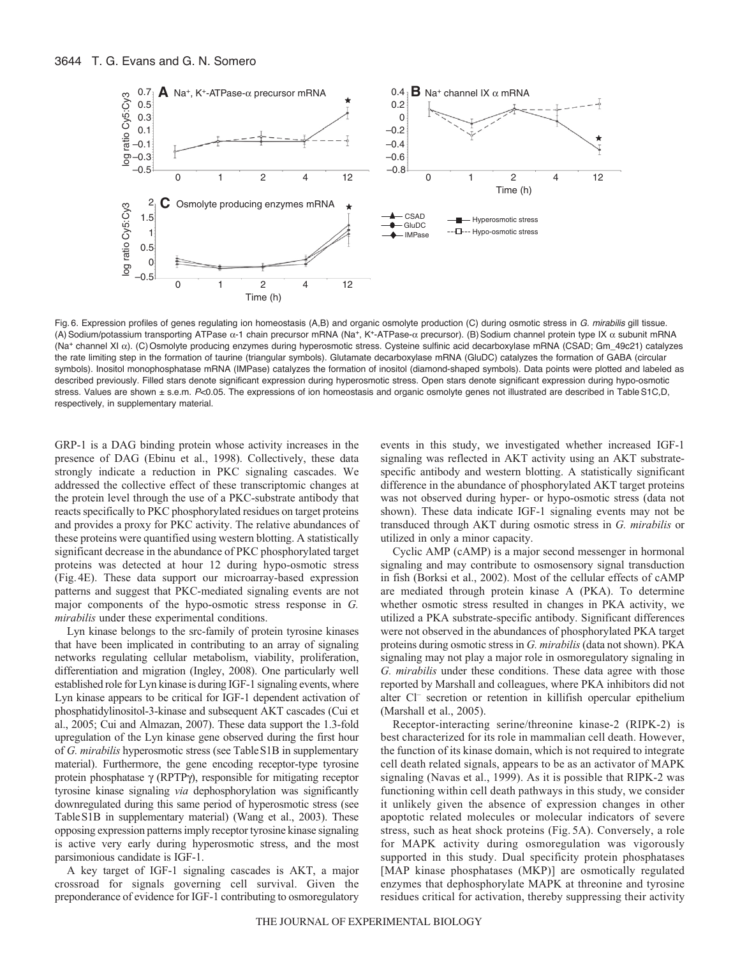

Fig. 6. Expression profiles of genes regulating ion homeostasis (A,B) and organic osmolyte production (C) during osmotic stress in G. mirabilis gill tissue. (A) Sodium/potassium transporting ATPase α-1 chain precursor mRNA (Na+, K+-ATPase-α precursor). (B) Sodium channel protein type IX α subunit mRNA (Na+ channel XI α). (C) Osmolyte producing enzymes during hyperosmotic stress. Cysteine sulfinic acid decarboxylase mRNA (CSAD; Gm\_49c21) catalyzes the rate limiting step in the formation of taurine (triangular symbols). Glutamate decarboxylase mRNA (GluDC) catalyzes the formation of GABA (circular symbols). Inositol monophosphatase mRNA (IMPase) catalyzes the formation of inositol (diamond-shaped symbols). Data points were plotted and labeled as described previously. Filled stars denote significant expression during hyperosmotic stress. Open stars denote significant expression during hypo-osmotic stress. Values are shown ± s.e.m. P<0.05. The expressions of ion homeostasis and organic osmolyte genes not illustrated are described in Table S1C,D, respectively, in supplementary material.

GRP-1 is a DAG binding protein whose activity increases in the presence of DAG (Ebinu et al., 1998). Collectively, these data strongly indicate a reduction in PKC signaling cascades. We addressed the collective effect of these transcriptomic changes at the protein level through the use of a PKC-substrate antibody that reacts specifically to PKC phosphorylated residues on target proteins and provides a proxy for PKC activity. The relative abundances of these proteins were quantified using western blotting. A statistically significant decrease in the abundance of PKC phosphorylated target proteins was detected at hour 12 during hypo-osmotic stress (Fig.4E). These data support our microarray-based expression patterns and suggest that PKC-mediated signaling events are not major components of the hypo-osmotic stress response in *G. mirabilis* under these experimental conditions.

Lyn kinase belongs to the src-family of protein tyrosine kinases that have been implicated in contributing to an array of signaling networks regulating cellular metabolism, viability, proliferation, differentiation and migration (Ingley, 2008). One particularly well established role for Lyn kinase is during IGF-1 signaling events, where Lyn kinase appears to be critical for IGF-1 dependent activation of phosphatidylinositol-3-kinase and subsequent AKT cascades (Cui et al., 2005; Cui and Almazan, 2007). These data support the 1.3-fold upregulation of the Lyn kinase gene observed during the first hour of *G. mirabilis* hyperosmotic stress (see TableS1B in supplementary material). Furthermore, the gene encoding receptor-type tyrosine protein phosphatase γ (RPTPγ), responsible for mitigating receptor tyrosine kinase signaling *via* dephosphorylation was significantly downregulated during this same period of hyperosmotic stress (see TableS1B in supplementary material) (Wang et al., 2003). These opposing expression patterns imply receptor tyrosine kinase signaling is active very early during hyperosmotic stress, and the most parsimonious candidate is IGF-1.

A key target of IGF-1 signaling cascades is AKT, a major crossroad for signals governing cell survival. Given the preponderance of evidence for IGF-1 contributing to osmoregulatory events in this study, we investigated whether increased IGF-1 signaling was reflected in AKT activity using an AKT substratespecific antibody and western blotting. A statistically significant difference in the abundance of phosphorylated AKT target proteins was not observed during hyper- or hypo-osmotic stress (data not shown). These data indicate IGF-1 signaling events may not be transduced through AKT during osmotic stress in *G. mirabilis* or utilized in only a minor capacity.

Cyclic AMP (cAMP) is a major second messenger in hormonal signaling and may contribute to osmosensory signal transduction in fish (Borksi et al., 2002). Most of the cellular effects of cAMP are mediated through protein kinase A (PKA). To determine whether osmotic stress resulted in changes in PKA activity, we utilized a PKA substrate-specific antibody. Significant differences were not observed in the abundances of phosphorylated PKA target proteins during osmotic stress in *G. mirabilis*(data not shown). PKA signaling may not play a major role in osmoregulatory signaling in *G. mirabilis* under these conditions. These data agree with those reported by Marshall and colleagues, where PKA inhibitors did not alter Cl– secretion or retention in killifish opercular epithelium (Marshall et al., 2005).

Receptor-interacting serine/threonine kinase-2 (RIPK-2) is best characterized for its role in mammalian cell death. However, the function of its kinase domain, which is not required to integrate cell death related signals, appears to be as an activator of MAPK signaling (Navas et al., 1999). As it is possible that RIPK-2 was functioning within cell death pathways in this study, we consider it unlikely given the absence of expression changes in other apoptotic related molecules or molecular indicators of severe stress, such as heat shock proteins (Fig. 5A). Conversely, a role for MAPK activity during osmoregulation was vigorously supported in this study. Dual specificity protein phosphatases [MAP kinase phosphatases (MKP)] are osmotically regulated enzymes that dephosphorylate MAPK at threonine and tyrosine residues critical for activation, thereby suppressing their activity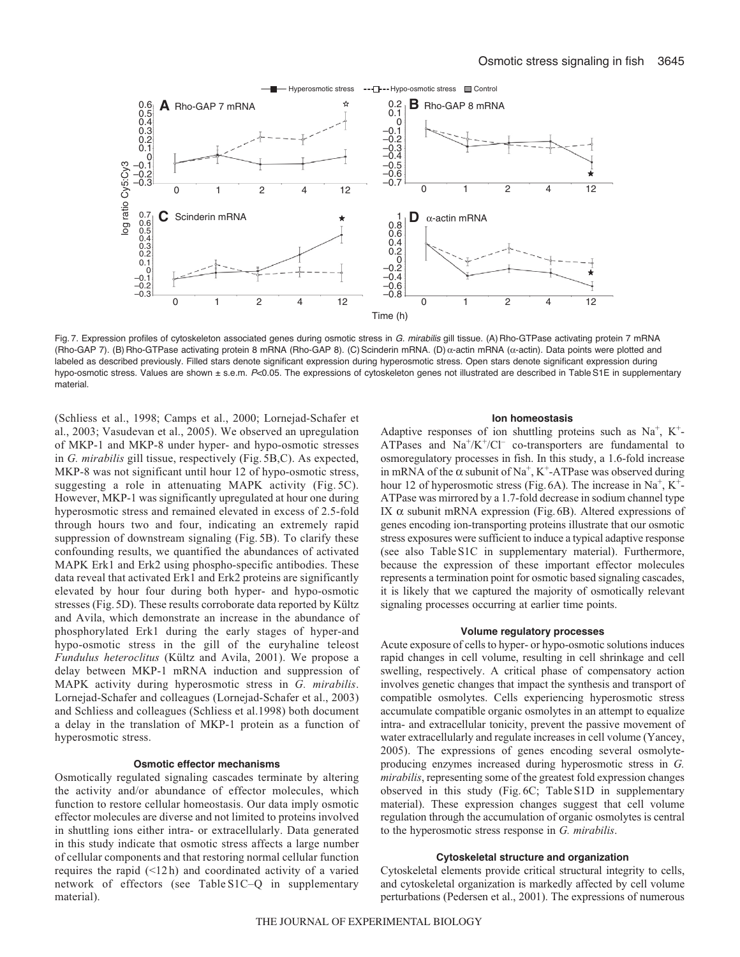

Fig. 7. Expression profiles of cytoskeleton associated genes during osmotic stress in G. mirabilis gill tissue. (A) Rho-GTPase activating protein 7 mRNA (Rho-GAP 7). (B) Rho-GTPase activating protein 8 mRNA (Rho-GAP 8). (C) Scinderin mRNA. (D)α-actin mRNA (α-actin). Data points were plotted and labeled as described previously. Filled stars denote significant expression during hyperosmotic stress. Open stars denote significant expression during hypo-osmotic stress. Values are shown ± s.e.m. P<0.05. The expressions of cytoskeleton genes not illustrated are described in Table S1E in supplementary material.

(Schliess et al., 1998; Camps et al., 2000; Lornejad-Schafer et al., 2003; Vasudevan et al., 2005). We observed an upregulation of MKP-1 and MKP-8 under hyper- and hypo-osmotic stresses in *G. mirabilis* gill tissue, respectively (Fig. 5B,C). As expected, MKP-8 was not significant until hour 12 of hypo-osmotic stress, suggesting a role in attenuating MAPK activity (Fig. 5C). However, MKP-1 was significantly upregulated at hour one during hyperosmotic stress and remained elevated in excess of 2.5-fold through hours two and four, indicating an extremely rapid suppression of downstream signaling (Fig. 5B). To clarify these confounding results, we quantified the abundances of activated MAPK Erk1 and Erk2 using phospho-specific antibodies. These data reveal that activated Erk1 and Erk2 proteins are significantly elevated by hour four during both hyper- and hypo-osmotic stresses (Fig.5D). These results corroborate data reported by Kültz and Avila, which demonstrate an increase in the abundance of phosphorylated Erk1 during the early stages of hyper-and hypo-osmotic stress in the gill of the euryhaline teleost *Fundulus heteroclitus* (Kültz and Avila, 2001). We propose a delay between MKP-1 mRNA induction and suppression of MAPK activity during hyperosmotic stress in *G. mirabilis*. Lornejad-Schafer and colleagues (Lornejad-Schafer et al., 2003) and Schliess and colleagues (Schliess et al.1998) both document a delay in the translation of MKP-1 protein as a function of hyperosmotic stress.

#### **Osmotic effector mechanisms**

Osmotically regulated signaling cascades terminate by altering the activity and/or abundance of effector molecules, which function to restore cellular homeostasis. Our data imply osmotic effector molecules are diverse and not limited to proteins involved in shuttling ions either intra- or extracellularly. Data generated in this study indicate that osmotic stress affects a large number of cellular components and that restoring normal cellular function requires the rapid  $(\leq 12h)$  and coordinated activity of a varied network of effectors (see Table S1C–Q in supplementary material).

# **Ion homeostasis**

Adaptive responses of ion shuttling proteins such as  $Na<sup>+</sup>$ ,  $K<sup>+</sup>$ -ATPases and  $Na^{+}/K^{+}/Cl^{-}$  co-transporters are fundamental to osmoregulatory processes in fish. In this study, a 1.6-fold increase in mRNA of the  $\alpha$  subunit of Na<sup>+</sup>, K<sup>+</sup>-ATPase was observed during hour 12 of hyperosmotic stress (Fig. 6A). The increase in Na<sup>+</sup>, K<sup>+</sup>-ATPase was mirrored by a 1.7-fold decrease in sodium channel type IX α subunit mRNA expression (Fig.6B). Altered expressions of genes encoding ion-transporting proteins illustrate that our osmotic stress exposures were sufficient to induce a typical adaptive response (see also Table S1C in supplementary material). Furthermore, because the expression of these important effector molecules represents a termination point for osmotic based signaling cascades, it is likely that we captured the majority of osmotically relevant signaling processes occurring at earlier time points.

#### **Volume regulatory processes**

Acute exposure of cells to hyper- or hypo-osmotic solutions induces rapid changes in cell volume, resulting in cell shrinkage and cell swelling, respectively. A critical phase of compensatory action involves genetic changes that impact the synthesis and transport of compatible osmolytes. Cells experiencing hyperosmotic stress accumulate compatible organic osmolytes in an attempt to equalize intra- and extracellular tonicity, prevent the passive movement of water extracellularly and regulate increases in cell volume (Yancey, 2005). The expressions of genes encoding several osmolyteproducing enzymes increased during hyperosmotic stress in *G. mirabilis*, representing some of the greatest fold expression changes observed in this study (Fig. 6C; Table S1D in supplementary material). These expression changes suggest that cell volume regulation through the accumulation of organic osmolytes is central to the hyperosmotic stress response in *G. mirabilis*.

## **Cytoskeletal structure and organization**

Cytoskeletal elements provide critical structural integrity to cells, and cytoskeletal organization is markedly affected by cell volume perturbations (Pedersen et al., 2001). The expressions of numerous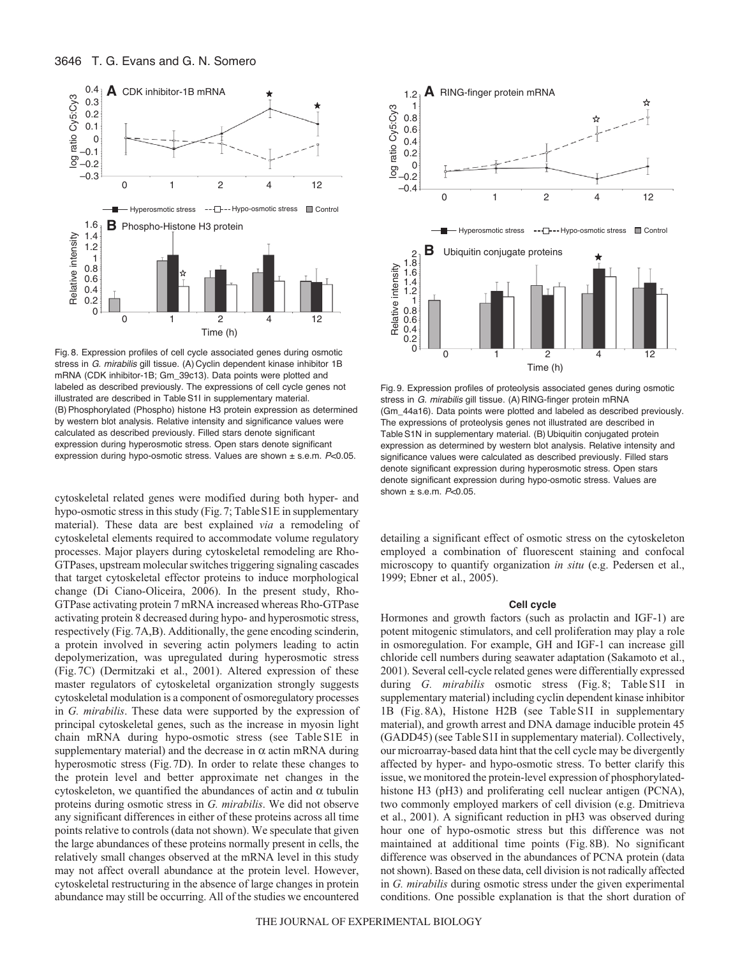

Fig. 8. Expression profiles of cell cycle associated genes during osmotic stress in G. mirabilis gill tissue. (A) Cyclin dependent kinase inhibitor 1B mRNA (CDK inhibitor-1B; Gm\_39c13). Data points were plotted and labeled as described previously. The expressions of cell cycle genes not illustrated are described in Table S1I in supplementary material. (B) Phosphorylated (Phospho) histone H3 protein expression as determined by western blot analysis. Relative intensity and significance values were calculated as described previously. Filled stars denote significant expression during hyperosmotic stress. Open stars denote significant expression during hypo-osmotic stress. Values are shown ± s.e.m. P<0.05.

cytoskeletal related genes were modified during both hyper- and hypo-osmotic stress in this study (Fig.7; TableS1E in supplementary material). These data are best explained *via* a remodeling of cytoskeletal elements required to accommodate volume regulatory processes. Major players during cytoskeletal remodeling are Rho-GTPases, upstream molecular switches triggering signaling cascades that target cytoskeletal effector proteins to induce morphological change (Di Ciano-Oliceira, 2006). In the present study, Rho-GTPase activating protein 7 mRNA increased whereas Rho-GTPase activating protein 8 decreased during hypo- and hyperosmotic stress, respectively (Fig.7A,B). Additionally, the gene encoding scinderin, a protein involved in severing actin polymers leading to actin depolymerization, was upregulated during hyperosmotic stress (Fig.7C) (Dermitzaki et al., 2001). Altered expression of these master regulators of cytoskeletal organization strongly suggests cytoskeletal modulation is a component of osmoregulatory processes in *G. mirabilis*. These data were supported by the expression of principal cytoskeletal genes, such as the increase in myosin light chain mRNA during hypo-osmotic stress (see Table S1E in supplementary material) and the decrease in  $\alpha$  actin mRNA during hyperosmotic stress (Fig.7D). In order to relate these changes to the protein level and better approximate net changes in the cytoskeleton, we quantified the abundances of actin and  $\alpha$  tubulin proteins during osmotic stress in *G. mirabilis*. We did not observe any significant differences in either of these proteins across all time points relative to controls (data not shown). We speculate that given the large abundances of these proteins normally present in cells, the relatively small changes observed at the mRNA level in this study may not affect overall abundance at the protein level. However, cytoskeletal restructuring in the absence of large changes in protein abundance may still be occurring. All of the studies we encountered



Fig. 9. Expression profiles of proteolysis associated genes during osmotic stress in *G. mirabilis* gill tissue. (A) RING-finger protein mRNA (Gm\_44a16). Data points were plotted and labeled as described previously. The expressions of proteolysis genes not illustrated are described in Table S1N in supplementary material. (B) Ubiquitin conjugated protein expression as determined by western blot analysis. Relative intensity and significance values were calculated as described previously. Filled stars denote significant expression during hyperosmotic stress. Open stars denote significant expression during hypo-osmotic stress. Values are shown  $\pm$  s.e.m.  $P<0.05$ .

detailing a significant effect of osmotic stress on the cytoskeleton employed a combination of fluorescent staining and confocal microscopy to quantify organization *in situ* (e.g. Pedersen et al., 1999; Ebner et al., 2005).

## **Cell cycle**

Hormones and growth factors (such as prolactin and IGF-1) are potent mitogenic stimulators, and cell proliferation may play a role in osmoregulation. For example, GH and IGF-1 can increase gill chloride cell numbers during seawater adaptation (Sakamoto et al., 2001). Several cell-cycle related genes were differentially expressed during *G. mirabilis* osmotic stress (Fig. 8; Table S1I in supplementary material) including cyclin dependent kinase inhibitor 1B (Fig. 8A), Histone H2B (see Table S1I in supplementary material), and growth arrest and DNA damage inducible protein 45 (GADD45) (see TableS1I in supplementary material). Collectively, our microarray-based data hint that the cell cycle may be divergently affected by hyper- and hypo-osmotic stress. To better clarify this issue, we monitored the protein-level expression of phosphorylatedhistone H3 (pH3) and proliferating cell nuclear antigen (PCNA), two commonly employed markers of cell division (e.g. Dmitrieva et al., 2001). A significant reduction in pH3 was observed during hour one of hypo-osmotic stress but this difference was not maintained at additional time points (Fig. 8B). No significant difference was observed in the abundances of PCNA protein (data not shown). Based on these data, cell division is not radically affected in *G. mirabilis* during osmotic stress under the given experimental conditions. One possible explanation is that the short duration of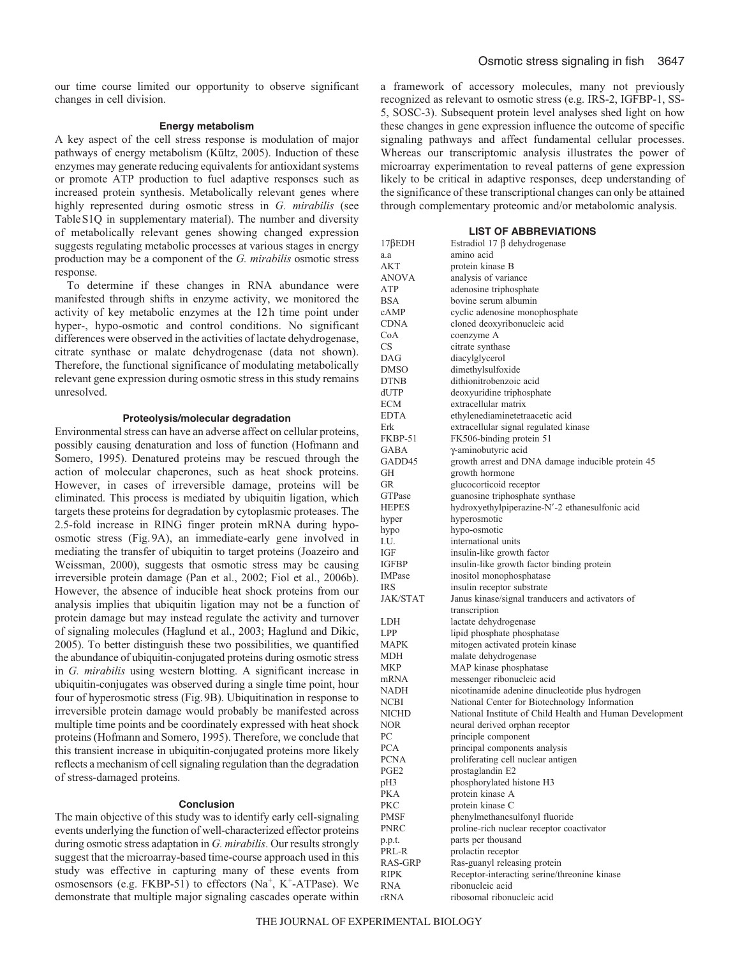our time course limited our opportunity to observe significant changes in cell division.

## **Energy metabolism**

A key aspect of the cell stress response is modulation of major pathways of energy metabolism (Kültz, 2005). Induction of these enzymes may generate reducing equivalents for antioxidant systems or promote ATP production to fuel adaptive responses such as increased protein synthesis. Metabolically relevant genes where highly represented during osmotic stress in *G. mirabilis* (see TableS1Q in supplementary material). The number and diversity of metabolically relevant genes showing changed expression suggests regulating metabolic processes at various stages in energy production may be a component of the *G. mirabilis* osmotic stress response.

To determine if these changes in RNA abundance were manifested through shifts in enzyme activity, we monitored the activity of key metabolic enzymes at the 12h time point under hyper-, hypo-osmotic and control conditions. No significant differences were observed in the activities of lactate dehydrogenase, citrate synthase or malate dehydrogenase (data not shown). Therefore, the functional significance of modulating metabolically relevant gene expression during osmotic stress in this study remains unresolved.

# **Proteolysis/molecular degradation**

Environmental stress can have an adverse affect on cellular proteins, possibly causing denaturation and loss of function (Hofmann and Somero, 1995). Denatured proteins may be rescued through the action of molecular chaperones, such as heat shock proteins. However, in cases of irreversible damage, proteins will be eliminated. This process is mediated by ubiquitin ligation, which targets these proteins for degradation by cytoplasmic proteases. The 2.5-fold increase in RING finger protein mRNA during hypoosmotic stress (Fig.9A), an immediate-early gene involved in mediating the transfer of ubiquitin to target proteins (Joazeiro and Weissman, 2000), suggests that osmotic stress may be causing irreversible protein damage (Pan et al., 2002; Fiol et al., 2006b). However, the absence of inducible heat shock proteins from our analysis implies that ubiquitin ligation may not be a function of protein damage but may instead regulate the activity and turnover of signaling molecules (Haglund et al., 2003; Haglund and Dikic, 2005). To better distinguish these two possibilities, we quantified the abundance of ubiquitin-conjugated proteins during osmotic stress in *G. mirabilis* using western blotting. A significant increase in ubiquitin-conjugates was observed during a single time point, hour four of hyperosmotic stress (Fig.9B). Ubiquitination in response to irreversible protein damage would probably be manifested across multiple time points and be coordinately expressed with heat shock proteins (Hofmann and Somero, 1995). Therefore, we conclude that this transient increase in ubiquitin-conjugated proteins more likely reflects a mechanism of cell signaling regulation than the degradation of stress-damaged proteins.

## **Conclusion**

The main objective of this study was to identify early cell-signaling events underlying the function of well-characterized effector proteins during osmotic stress adaptation in *G. mirabilis*. Our results strongly suggest that the microarray-based time-course approach used in this study was effective in capturing many of these events from osmosensors (e.g. FKBP-51) to effectors  $(Na^+, K^+ATPase)$ . We demonstrate that multiple major signaling cascades operate within

a framework of accessory molecules, many not previously recognized as relevant to osmotic stress (e.g. IRS-2, IGFBP-1, SS-5, SOSC-3). Subsequent protein level analyses shed light on how these changes in gene expression influence the outcome of specific signaling pathways and affect fundamental cellular processes. Whereas our transcriptomic analysis illustrates the power of microarray experimentation to reveal patterns of gene expression likely to be critical in adaptive responses, deep understanding of the significance of these transcriptional changes can only be attained through complementary proteomic and/or metabolomic analysis.

# **LIST OF ABBREVIATIONS**

|               | LIJI UF ADDREVIATIONJ                                                          |
|---------------|--------------------------------------------------------------------------------|
| $17\beta$ EDH | Estradiol 17 $\beta$ dehydrogenase                                             |
| a.a           | amino acid                                                                     |
| AKT           | protein kinase B                                                               |
| ANOVA         | analysis of variance                                                           |
| ATP           | adenosine triphosphate                                                         |
| BSA           | bovine serum albumin                                                           |
| cAMP          | cyclic adenosine monophosphate                                                 |
| CDNA          | cloned deoxyribonucleic acid                                                   |
| CoA           | coenzyme A                                                                     |
| CS            | citrate synthase                                                               |
| DAG           | diacylglycerol                                                                 |
| DMSO          | dimethylsulfoxide                                                              |
| DTNB          | dithionitrobenzoic acid                                                        |
| dUTP          | deoxyuridine triphosphate                                                      |
| ECM           | extracellular matrix                                                           |
| EDTA          | ethylenediaminetetraacetic acid                                                |
| Erk           | extracellular signal regulated kinase                                          |
| FKBP-51       | FK506-binding protein 51                                                       |
| GABA          | γ-aminobutyric acid                                                            |
| GADD45        | growth arrest and DNA damage inducible protein 45                              |
| GН            | growth hormone                                                                 |
| GR            | glucocorticoid receptor                                                        |
| GTPase        | guanosine triphosphate synthase                                                |
| HEPES         | hydroxyethylpiperazine-N'-2 ethanesulfonic acid                                |
| hyper         | hyperosmotic                                                                   |
| hypo          | hypo-osmotic                                                                   |
| I.U.          | international units                                                            |
| IGF           | insulin-like growth factor                                                     |
| IGFBP         | insulin-like growth factor binding protein                                     |
| IMPase        | inositol monophosphatase                                                       |
| IRS           |                                                                                |
| JAK/STAT      | insulin receptor substrate<br>Janus kinase/signal tranducers and activators of |
|               |                                                                                |
|               | transcription                                                                  |
| LDH           | lactate dehydrogenase                                                          |
| LPP           | lipid phosphate phosphatase                                                    |
| MAPK          | mitogen activated protein kinase                                               |
| MDH           | malate dehydrogenase                                                           |
| MKP           | MAP kinase phosphatase                                                         |
| mRNA          | messenger ribonucleic acid                                                     |
| NADH          | nicotinamide adenine dinucleotide plus hydrogen                                |
| NCBI          | National Center for Biotechnology Information                                  |
| NICHD         | National Institute of Child Health and Human Development                       |
| NOR           | neural derived orphan receptor                                                 |
| PС            | principle component                                                            |
| PCA           | principal components analysis                                                  |
| PCNA          | proliferating cell nuclear antigen                                             |
| PGE2          | prostaglandin E2                                                               |
| pH3           | phosphorylated histone H3                                                      |
| PKA           | protein kinase A                                                               |
| PKC           | protein kinase C                                                               |
| PMSF          | phenylmethanesulfonyl fluoride                                                 |
| PNRC          | proline-rich nuclear receptor coactivator                                      |
| p.p.t.        | parts per thousand                                                             |
| PRL-R         | prolactin receptor                                                             |
| RAS-GRP       | Ras-guanyl releasing protein                                                   |
| RIPK          | Receptor-interacting serine/threonine kinase                                   |
| RNA           | ribonucleic acid                                                               |
| rRNA          | ribosomal ribonucleic acid                                                     |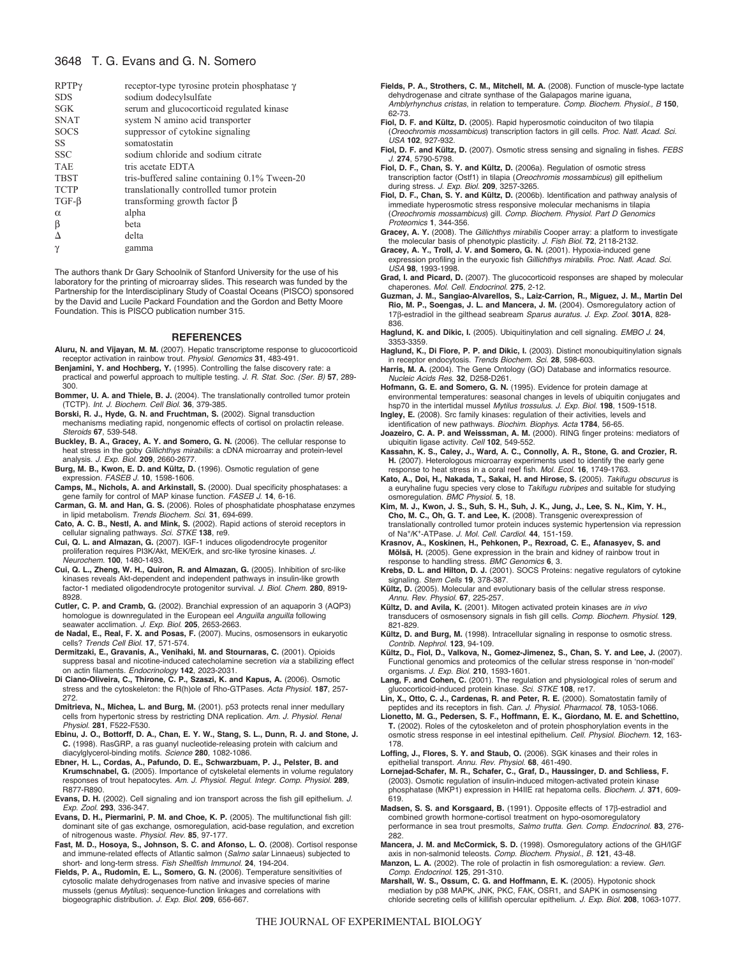# 3648 T. G. Evans and G. N. Somero

| RPTPy       | receptor-type tyrosine protein phosphatase $\gamma$ |
|-------------|-----------------------------------------------------|
| <b>SDS</b>  | sodium dodecylsulfate                               |
| <b>SGK</b>  | serum and glucocorticoid regulated kinase           |
| <b>SNAT</b> | system N amino acid transporter                     |
| <b>SOCS</b> | suppressor of cytokine signaling                    |
| <b>SS</b>   | somatostatin                                        |
| <b>SSC</b>  | sodium chloride and sodium citrate                  |
| <b>TAE</b>  | tris acetate EDTA                                   |
| <b>TBST</b> | tris-buffered saline containing 0.1% Tween-20       |
| <b>TCTP</b> | translationally controlled tumor protein            |
| $TGF-\beta$ | transforming growth factor $\beta$                  |
| $\alpha$    | alpha                                               |
| β           | beta                                                |
| Δ           | delta                                               |
| $\gamma$    | gamma                                               |

The authors thank Dr Gary Schoolnik of Stanford University for the use of his laboratory for the printing of microarray slides. This research was funded by the Partnership for the Interdisciplinary Study of Coastal Oceans (PISCO) sponsored by the David and Lucile Packard Foundation and the Gordon and Betty Moore Foundation. This is PISCO publication number 315.

#### **REFERENCES**

- **Aluru, N. and Vijayan, M. M.** (2007). Hepatic transcriptome response to glucocorticoid receptor activation in rainbow trout. Physiol. Genomics **31**, 483-491. **Benjamini, Y. and Hochberg, Y.** (1995). Controlling the false discovery rate: a
- practical and powerful approach to multiple testing. J. R. Stat. Soc. (Ser. B) **57**, 289- 300.
- **Bommer, U. A. and Thiele, B. J.** (2004). The translationally controlled tumor protein (TCTP). Int. J. Biochem. Cell Biol. **36**, 379-385.
- **Borski, R. J., Hyde, G. N. and Fruchtman, S.** (2002). Signal transduction mechanisms mediating rapid, nongenomic effects of cortisol on prolactin release. Steroids **67**, 539-548.
- **Buckley, B. A., Gracey, A. Y. and Somero, G. N.** (2006). The cellular response to heat stress in the goby Gillichthys mirabilis: a cDNA microarray and protein-level analysis. J. Exp. Biol. **209**, 2660-2677.
- **Burg, M. B., Kwon, E. D. and Kültz, D.** (1996). Osmotic regulation of gene expression. FASEB J. **10**, 1598-1606.
- **Camps, M., Nichols, A. and Arkinstall, S.** (2000). Dual specificity phosphatases: a gene family for control of MAP kinase function. FASEB J. **14**, 6-16.
- **Carman, G. M. and Han, G. S.** (2006). Roles of phosphatidate phosphatase enzymes in lipid metabolism. Trends Biochem. Sci. **31**, 694-699.
- **Cato, A. C. B., Nestl, A. and Mink, S.** (2002). Rapid actions of steroid receptors in cellular signaling pathways. Sci. STKE **138**, re9.
- **Cui, Q. L. and Almazan, G.** (2007). IGF-1 induces oligodendrocyte progenitor proliferation requires PI3K/Akt, MEK/Erk, and src-like tyrosine kinases. J. Neurochem. **100**, 1480-1493.
- **Cui, Q. L., Zheng, W. H., Quiron, R. and Almazan, G.** (2005). Inhibition of src-like kinases reveals Akt-dependent and independent pathways in insulin-like growth factor-1 mediated oligodendrocyte protogenitor survival. J. Biol. Chem. **280**, 8919- 8928.
- **Cutler, C. P. and Cramb, G.** (2002). Branchial expression of an aquaporin 3 (AQP3) homologue is downregulated in the European eel Anguilla anguilla following seawater acclimation. J. Exp. Biol. **205**, 2653-2663.
- **de Nadal, E., Real, F. X. and Posas, F.** (2007). Mucins, osmosensors in eukaryotic cells? Trends Cell Biol. **17**, 571-574.
- **Dermitzaki, E., Gravanis, A., Venihaki, M. and Stournaras, C.** (2001). Opioids suppress basal and nicotine-induced catecholamine secretion via a stabilizing effect on actin filaments. Endocrinology **142**, 2023-2031.
- **Di Ciano-Oliveira, C., Thirone, C. P., Szaszi, K. and Kapus, A.** (2006). Osmotic stress and the cytoskeleton: the R(h)ole of Rho-GTPases. Acta Physiol. **187**, 257- 272.
- **Dmitrieva, N., Michea, L. and Burg, M.** (2001). p53 protects renal inner medullary cells from hypertonic stress by restricting DNA replication. Am. J. Physiol. Renal Physiol. **281**, F522-F530.
- **Ebinu, J. O., Bottorff, D. A., Chan, E. Y. W., Stang, S. L., Dunn, R. J. and Stone, J. C.** (1998). RasGRP, a ras guanyl nucleotide-releasing protein with calcium and diacylglycerol-binding motifs. Science **280**, 1082-1086.
- **Ebner, H. L., Cordas, A., Pafundo, D. E., Schwarzbuam, P. J., Pelster, B. and Krumschnabel, G.** (2005). Importance of cytskeletal elements in volume regulatory responses of trout hepatocytes. Am. J. Physiol. Regul. Integr. Comp. Physiol. **289**, R877-R890.
- **Evans, D. H.** (2002). Cell signaling and ion transport across the fish gill epithelium. J. Exp. Zool. **293**, 336-347.
- **Evans, D. H., Piermarini, P. M. and Choe, K. P.** (2005). The multifunctional fish gill: dominant site of gas exchange, osmoregulation, acid-base regulation, and excretion of nitrogenous waste. Physiol. Rev. **85**, 97-177.
- **Fast, M. D., Hosoya, S., Johnson, S. C. and Afonso, L. O.** (2008). Cortisol response and immune-related effects of Atlantic salmon (Salmo salar Linnaeus) subjected to
- short- and long-term stress. Fish Shellfish Immunol. **24**, 194-204. **Fields, P. A., Rudomin, E. L., Somero, G. N.** (2006). Temperature sensitivities of cytosolic malate dehydrogenases from native and invasive species of marine mussels (genus Mytilus): sequence-function linkages and correlations with biogeographic distribution. J. Exp. Biol. **209**, 656-667.
- **Fields, P. A., Strothers, C. M., Mitchell, M. A.** (2008). Function of muscle-type lactate dehydrogenase and citrate synthase of the Galapagos marine iguana, Amblyrhynchus cristas, in relation to temperature. Comp. Biochem. Physiol., B **150**, 62-73.
- **Fiol, D. F. and Kültz, D.** (2005). Rapid hyperosmotic coinduciton of two tilapia (Oreochromis mossambicus) transcription factors in gill cells. Proc. Natl. Acad. Sci. USA **102**, 927-932.
- **Fiol, D. F. and Kültz, D.** (2007). Osmotic stress sensing and signaling in fishes. FEBS J. **274**, 5790-5798.
- **Fiol, D. F., Chan, S. Y. and Kültz, D.** (2006a). Regulation of osmotic stress transcription factor (Ostf1) in tilapia (Oreochromis mossambicus) gill epithelium
- during stress. J. Exp. Biol. **209**, 3257-3265. **Fiol, D. F., Chan, S. Y. and Kültz, D.** (2006b). Identification and pathway analysis of immediate hyperosmotic stress responsive molecular mechanisms in tilapia (Oreochromis mossambicus) gill. Comp. Biochem. Physiol. Part D Genomics Proteomics **1**, 344-356.
- Gracey, A. Y. (2008). The Gillichthys mirabilis Cooper array: a platform to investigate the molecular basis of phenotypic plasticity. J. Fish Biol. **72**, 2118-2132.
- **Gracey, A. Y., Troll, J. V. and Somero, G. N.** (2001). Hypoxia-induced gene expression profiling in the euryoxic fish Gillichthys mirabilis. Proc. Natl. Acad. Sci. USA **98**, 1993-1998.
- **Grad, I. and Picard, D.** (2007). The glucocorticoid responses are shaped by molecular chaperones. Mol. Cell. Endocrinol. **275**, 2-12.
- **Guzman, J. M., Sangiao-Alvarellos, S., Laiz-Carrion, R., Miguez, J. M., Martin Del Rio, M. P., Soengas, J. L. and Mancera, J. M.** (2004). Osmoregulatory action of 17β-estradiol in the gilthead seabream Sparus auratus. J. Exp. Zool. **301A**, 828- 836.
- **Haglund, K. and Dikic, I.** (2005). Ubiquitinylation and cell signaling. EMBO J. **24**, 3353-3359.
- **Haglund, K., Di Fiore, P. P. and Dikic, I.** (2003). Distinct monoubiquitinylation signals in receptor endocytosis. Trends Biochem. Sci. **28**, 598-603.
- Harris, M. A. (2004). The Gene Ontology (GO) Database and informatics resource. Nucleic Acids Res. **32**, D258-D261.
- **Hofmann, G. E. and Somero, G. N.** (1995). Evidence for protein damage at environmental temperatures: seasonal changes in levels of ubiquitin conjugates and hsp70 in the intertidal mussel Mytilus trossulus. J. Exp. Biol. **198**, 1509-1518.
- **Ingley, E.** (2008). Src family kinases: regulation of their activities, levels and identification of new pathways. Biochim. Biophys. Acta **1784**, 56-65.
- **Joazeiro, C. A. P. and Weisssman, A. M.** (2000). RING finger proteins: mediators of ubiquitin ligase activity. Cell **102**, 549-552.
- **Kassahn, K. S., Caley, J., Ward, A. C., Connolly, A. R., Stone, G. and Crozier, R. H.** (2007). Heterologous microarray experiments used to identify the early gene response to heat stress in a coral reef fish. Mol. Ecol. **16**, 1749-1763.
- **Kato, A., Doi, H., Nakada, T., Sakai, H. and Hirose, S.** (2005). Takifugu obscurus is a euryhaline fugu species very close to Takifugu rubripes and suitable for studying osmoregulation. BMC Physiol. **5**, 18.
- **Kim, M. J., Kwon, J. S., Suh, S. H., Suh, J. K., Jung, J., Lee, S. N., Kim, Y. H., Cho, M. C., Oh, G. T. and Lee, K.** (2008). Transgenic overexpression of translationally controlled tumor protein induces systemic hypertension via repression of Na+/K+-ATPase. J. Mol. Cell. Cardiol. **44**, 151-159.
- **Krasnov, A., Koskinen, H., Pehkonen, P., Rexroad, C. E., Afanasyev, S. and Mölsä, H.** (2005). Gene expression in the brain and kidney of rainbow trout in response to handling stress. BMC Genomics **6**, 3.
- **Krebs, D. L. and Hilton, D. J.** (2001). SOCS Proteins: negative regulators of cytokine signaling. Stem Cells **19**, 378-387.
- **Kültz, D.** (2005). Molecular and evolutionary basis of the cellular stress response. Annu. Rev. Physiol. **67**, 225-257.
- **Kültz, D. and Avila, K.** (2001). Mitogen activated protein kinases are in vivo transducers of osmosensory signals in fish gill cells. Comp. Biochem. Physiol. **129**, 821-829.
- Kültz, D. and Burg, M. (1998). Intracellular signaling in response to osmotic stress. Contrib. Nephrol. **123**, 94-109.
- **Kültz, D., Fiol, D., Valkova, N., Gomez-Jimenez, S., Chan, S. Y. and Lee, J.** (2007). Functional genomics and proteomics of the cellular stress response in ʻnon-model' organisms. J. Exp. Biol. **210**, 1593-1601.
- **Lang, F. and Cohen, C.** (2001). The regulation and physiological roles of serum and glucocorticoid-induced protein kinase. Sci. STKE **108**, re17.
- **Lin, X., Otto, C. J., Cardenas, R. and Peter, R. E.** (2000). Somatostatin family of peptides and its receptors in fish. Can. J. Physiol. Pharmacol. **78**, 1053-1066.
- **Lionetto, M. G., Pedersen, S. F., Hoffmann, E. K., Giordano, M. E. and Schettino, T.** (2002). Roles of the cytoskeleton and of protein phosphorylation events in the osmotic stress response in eel intestinal epithelium. Cell. Physiol. Biochem. **12**, 163- 178.
- **Loffing, J., Flores, S. Y. and Staub, O.** (2006). SGK kinases and their roles in epithelial transport. Annu. Rev. Physiol. **68**, 461-490.

**Lornejad-Schafer, M. R., Schafer, C., Graf, D., Haussinger, D. and Schliess, F.** (2003). Osmotic regulation of insulin-induced mitogen-activated protein kinase phosphatase (MKP1) expression in H4IIE rat hepatoma cells. Biochem. J. **371**, 609- 619.

- **Madsen, S. S. and Korsgaard, B.** (1991). Opposite effects of 17β-estradiol and combined growth hormone-cortisol treatment on hypo-osomoregulatory performance in sea trout presmolts, Salmo trutta. Gen. Comp. Endocrinol. **83**, 276-
- 282. **Mancera, J. M. and McCormick, S. D.** (1998). Osmoregulatory actions of the GH/IGF axis in non-salmonid teleosts. Comp. Biochem. Physiol., B. **121**, 43-48.
- **Manzon, L. A.** (2002). The role of prolactin in fish osmoregulation: a review. Gen. Comp. Endocrinol. **125**, 291-310.
- **Marshall, W. S., Ossum, C. G. and Hoffmann, E. K.** (2005). Hypotonic shock mediation by p38 MAPK, JNK, PKC, FAK, OSR1, and SAPK in osmosensing chloride secreting cells of killifish opercular epithelium. J. Exp. Biol. **208**, 1063-1077.